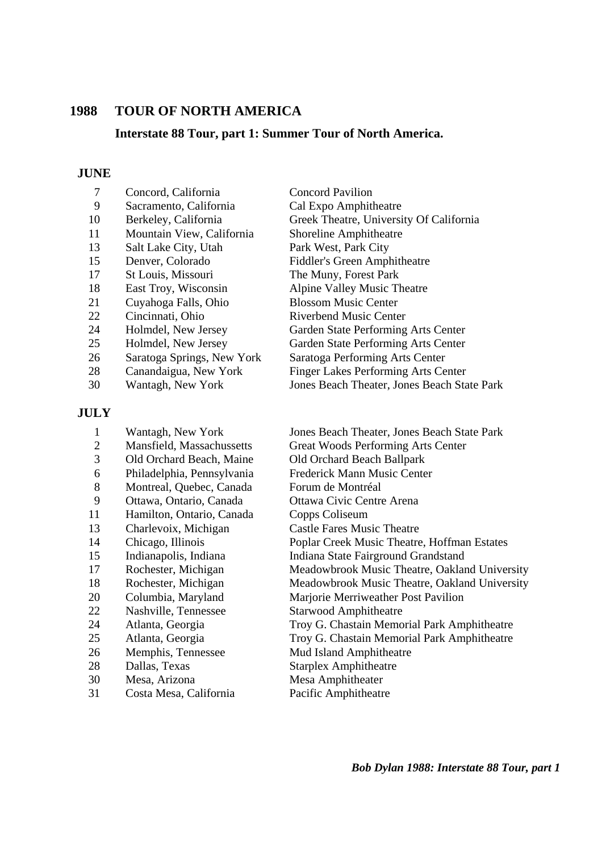#### **1988 TOUR OF NORTH AMERICA**

#### **Interstate 88 Tour, part 1: Summer Tour of North America.**

#### **JUNE**

- 7 Concord, California Concord Pavilion
- 
- 
- 11 Mountain View, California Shoreline Amphitheatre
- 13 Salt Lake City, Utah Park West, Park City
- 
- 17 St Louis, Missouri The Muny, Forest Park
- 
- 21 Cuyahoga Falls, Ohio Blossom Music Center
- 
- 
- 
- 26 Saratoga Springs, New York Saratoga Performing Arts Center
- 
- 

#### **JULY**

- 3 Old Orchard Beach, Maine Old Orchard Beach Ballpark 8 Montreal, Quebec, Canada Forum de Montréal 9 Ottawa, Ontario, Canada Ottawa Civic Centre Arena 11 Hamilton, Ontario, Canada Copps Coliseum 13 Charlevoix, Michigan Castle Fares Music Theatre 22 Nashville, Tennessee Starwood Amphitheatre 26 Memphis, Tennessee Mud Island Amphitheatre 28 Dallas, Texas Starplex Amphitheatre 30 Mesa, Arizona Mesa Amphitheater
- 31 Costa Mesa, California Pacific Amphitheatre

 9 Sacramento, California Cal Expo Amphitheatre 10 Berkeley, California Greek Theatre, University Of California 15 Denver, Colorado Fiddler's Green Amphitheatre 18 East Troy, Wisconsin Alpine Valley Music Theatre 22 Cincinnati, Ohio Riverbend Music Center 24 Holmdel, New Jersey Garden State Performing Arts Center 25 Holmdel, New Jersey Garden State Performing Arts Center 28 Canandaigua, New York Finger Lakes Performing Arts Center 30 Wantagh, New York Jones Beach Theater, Jones Beach State Park

 1 Wantagh, New York Jones Beach Theater, Jones Beach State Park 2 Mansfield, Massachussetts Great Woods Performing Arts Center 6 Philadelphia, Pennsylvania Frederick Mann Music Center 14 Chicago, Illinois Poplar Creek Music Theatre, Hoffman Estates 15 Indianapolis, Indiana Indiana State Fairground Grandstand 17 Rochester, Michigan Meadowbrook Music Theatre, Oakland University 18 Rochester, Michigan Meadowbrook Music Theatre, Oakland University 20 Columbia, Maryland Marjorie Merriweather Post Pavilion 24 Atlanta, Georgia Troy G. Chastain Memorial Park Amphitheatre 25 Atlanta, Georgia Troy G. Chastain Memorial Park Amphitheatre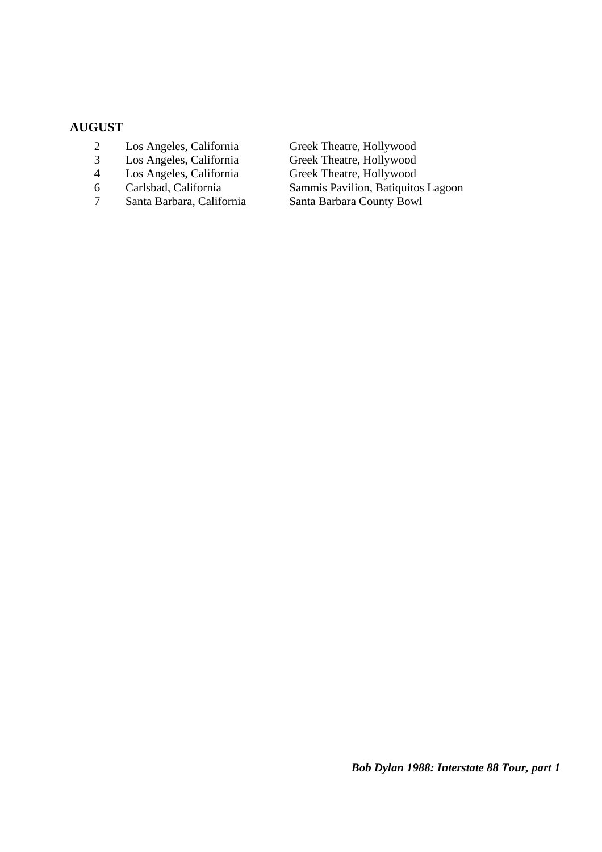#### **AUGUST**

- 2 Los Angeles, California Greek Theatre, Hollywood
- 3 Los Angeles, California Greek Theatre, Hollywood
- 
- 
- 

4 Los Angeles, California Greek Theatre, Hollywood<br>6 Carlsbad, California Sammis Pavilion, Batiquito 6 Carlsbad, California Sammis Pavilion, Batiquitos Lagoon Santa Barbara County Bowl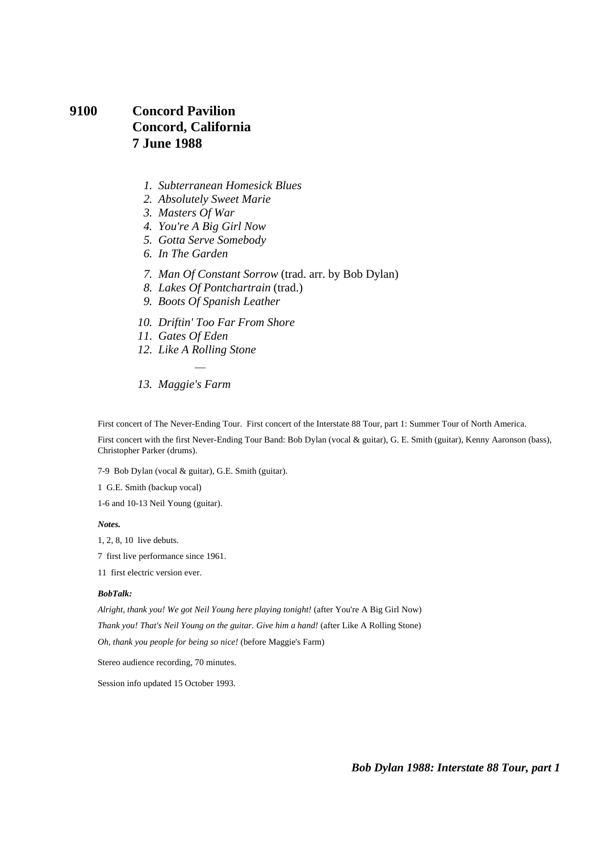# **9100 Concord Pavilion Concord, California 7 June 1988**

- *1. Subterranean Homesick Blues*
- *2. Absolutely Sweet Marie*
- *3. Masters Of War*
- *4. You're A Big Girl Now*
- *5. Gotta Serve Somebody*
- *6. In The Garden*
- *7. Man Of Constant Sorrow* (trad. arr. by Bob Dylan)
- *8. Lakes Of Pontchartrain* (trad.)
- *9. Boots Of Spanish Leather*
- *10. Driftin' Too Far From Shore*
- *11. Gates Of Eden*
- *12. Like A Rolling Stone*  ÷,
- *13. Maggie's Farm*

First concert of The Never-Ending Tour. First concert of the Interstate 88 Tour, part 1: Summer Tour of North America.

First concert with the first Never-Ending Tour Band: Bob Dylan (vocal & guitar), G. E. Smith (guitar), Kenny Aaronson (bass), Christopher Parker (drums).

7-9 Bob Dylan (vocal & guitar), G.E. Smith (guitar).

1 G.E. Smith (backup vocal)

1-6 and 10-13 Neil Young (guitar).

*Notes.* 

1, 2, 8, 10 live debuts.

7 first live performance since 1961.

11 first electric version ever.

#### *BobTalk:*

*Alright, thank you! We got Neil Young here playing tonight!* (after You're A Big Girl Now)

*Thank you! That's Neil Young on the guitar. Give him a hand!* (after Like A Rolling Stone)

*Oh, thank you people for being so nice!* (before Maggie's Farm)

Stereo audience recording, 70 minutes.

Session info updated 15 October 1993.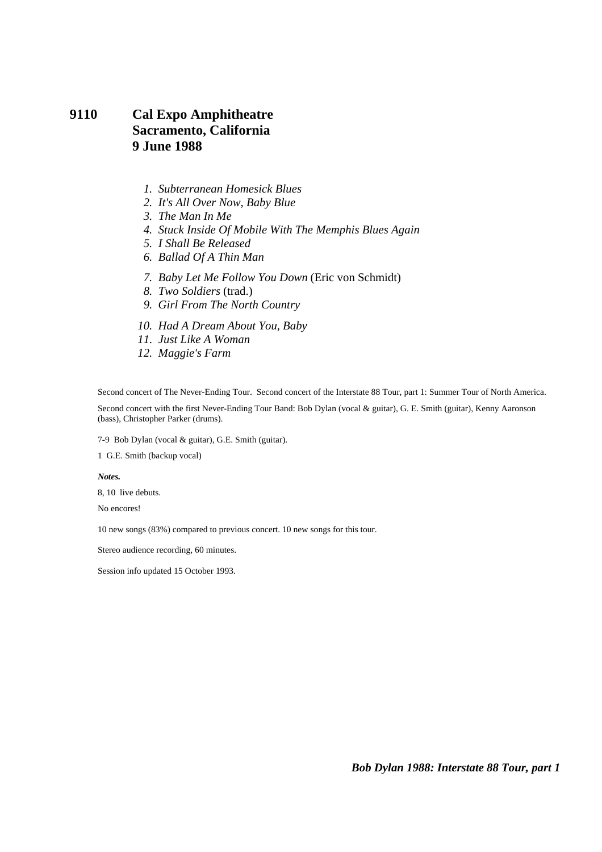# **9110 Cal Expo Amphitheatre Sacramento, California 9 June 1988**

- *1. Subterranean Homesick Blues*
- *2. It's All Over Now, Baby Blue*
- *3. The Man In Me*
- *4. Stuck Inside Of Mobile With The Memphis Blues Again*
- *5. I Shall Be Released*
- *6. Ballad Of A Thin Man*
- *7. Baby Let Me Follow You Down* (Eric von Schmidt)
- *8. Two Soldiers* (trad.)
- *9. Girl From The North Country*
- *10. Had A Dream About You, Baby*
- *11. Just Like A Woman*
- *12. Maggie's Farm*

Second concert of The Never-Ending Tour. Second concert of the Interstate 88 Tour, part 1: Summer Tour of North America.

Second concert with the first Never-Ending Tour Band: Bob Dylan (vocal & guitar), G. E. Smith (guitar), Kenny Aaronson (bass), Christopher Parker (drums).

7-9 Bob Dylan (vocal & guitar), G.E. Smith (guitar).

1 G.E. Smith (backup vocal)

*Notes.* 

8, 10 live debuts.

No encores!

10 new songs (83%) compared to previous concert. 10 new songs for this tour.

Stereo audience recording, 60 minutes.

Session info updated 15 October 1993.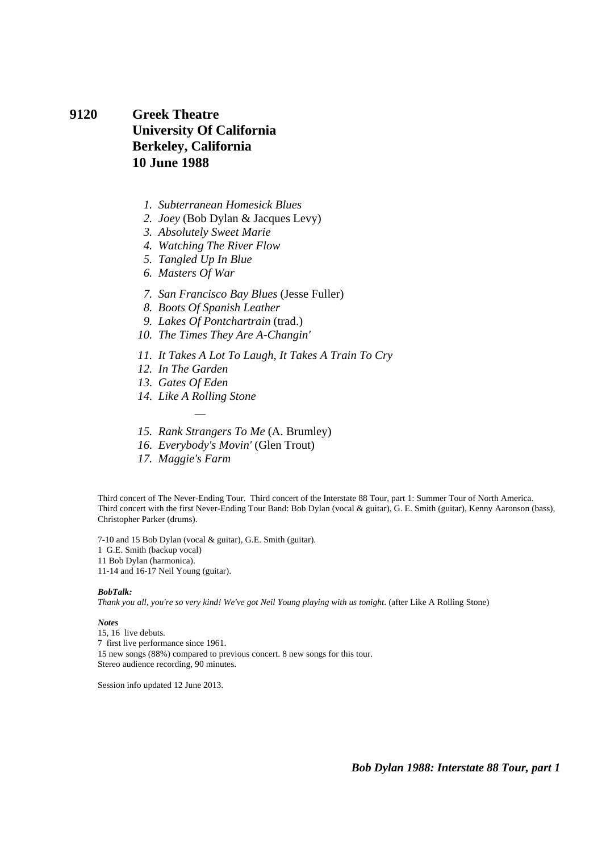#### **9120 Greek Theatre University Of California Berkeley, California 10 June 1988**

- *1. Subterranean Homesick Blues*
- *2. Joey* (Bob Dylan & Jacques Levy)
- *3. Absolutely Sweet Marie*
- *4. Watching The River Flow*
- *5. Tangled Up In Blue*
- *6. Masters Of War*
- *7. San Francisco Bay Blues* (Jesse Fuller)
- *8. Boots Of Spanish Leather*
- *9. Lakes Of Pontchartrain* (trad.)
- *10. The Times They Are A-Changin'*
- *11. It Takes A Lot To Laugh, It Takes A Train To Cry*
- *12. In The Garden*
- *13. Gates Of Eden*
- *14. Like A Rolling Stone*  e<br>H
- *15. Rank Strangers To Me* (A. Brumley)
- *16. Everybody's Movin'* (Glen Trout)
- *17. Maggie's Farm*

Third concert of The Never-Ending Tour. Third concert of the Interstate 88 Tour, part 1: Summer Tour of North America. Third concert with the first Never-Ending Tour Band: Bob Dylan (vocal & guitar), G. E. Smith (guitar), Kenny Aaronson (bass), Christopher Parker (drums).

7-10 and 15 Bob Dylan (vocal & guitar), G.E. Smith (guitar).

1 G.E. Smith (backup vocal)

11 Bob Dylan (harmonica).

11-14 and 16-17 Neil Young (guitar).

#### *BobTalk:*

*Thank you all, you're so very kind! We've got Neil Young playing with us tonight*. (after Like A Rolling Stone)

#### *Notes*

15, 16 live debuts. 7 first live performance since 1961. 15 new songs (88%) compared to previous concert. 8 new songs for this tour. Stereo audience recording, 90 minutes.

Session info updated 12 June 2013.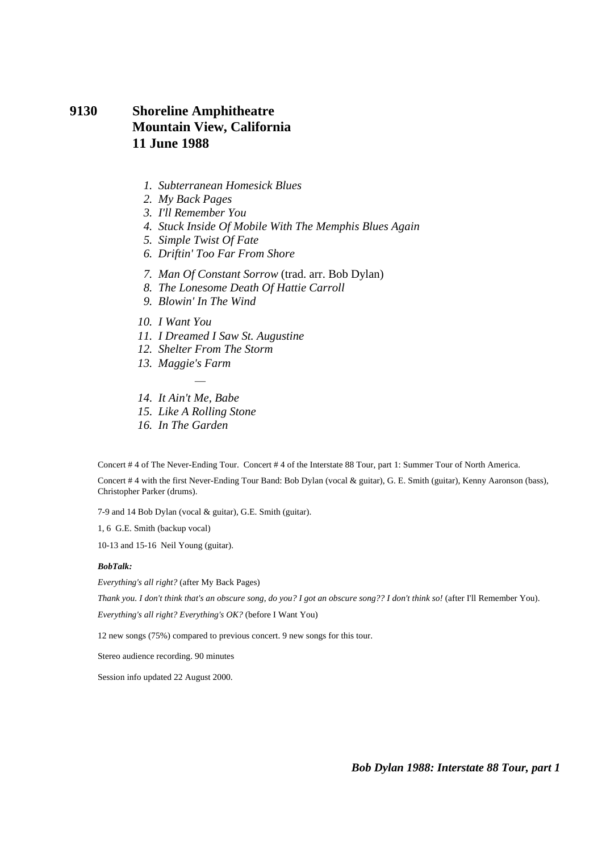# **9130 Shoreline Amphitheatre Mountain View, California 11 June 1988**

- *1. Subterranean Homesick Blues*
- *2. My Back Pages*
- *3. I'll Remember You*
- *4. Stuck Inside Of Mobile With The Memphis Blues Again*
- *5. Simple Twist Of Fate*
- *6. Driftin' Too Far From Shore*
- *7. Man Of Constant Sorrow* (trad. arr. Bob Dylan)
- *8. The Lonesome Death Of Hattie Carroll*
- *9. Blowin' In The Wind*
- *10. I Want You*
- *11. I Dreamed I Saw St. Augustine*
- *12. Shelter From The Storm*
- *13. Maggie's Farm*
- *14. It Ain't Me, Babe*
- *15. Like A Rolling Stone*

÷,

 *16. In The Garden* 

Concert # 4 of The Never-Ending Tour. Concert # 4 of the Interstate 88 Tour, part 1: Summer Tour of North America.

Concert # 4 with the first Never-Ending Tour Band: Bob Dylan (vocal & guitar), G. E. Smith (guitar), Kenny Aaronson (bass), Christopher Parker (drums).

7-9 and 14 Bob Dylan (vocal & guitar), G.E. Smith (guitar).

1, 6 G.E. Smith (backup vocal)

10-13 and 15-16 Neil Young (guitar).

#### *BobTalk:*

*Everything's all right?* (after My Back Pages)

*Thank you. I don't think that's an obscure song, do you? I got an obscure song?? I don't think so!* (after I'll Remember You).

*Everything's all right? Everything's OK?* (before I Want You)

12 new songs (75%) compared to previous concert. 9 new songs for this tour.

Stereo audience recording. 90 minutes

Session info updated 22 August 2000.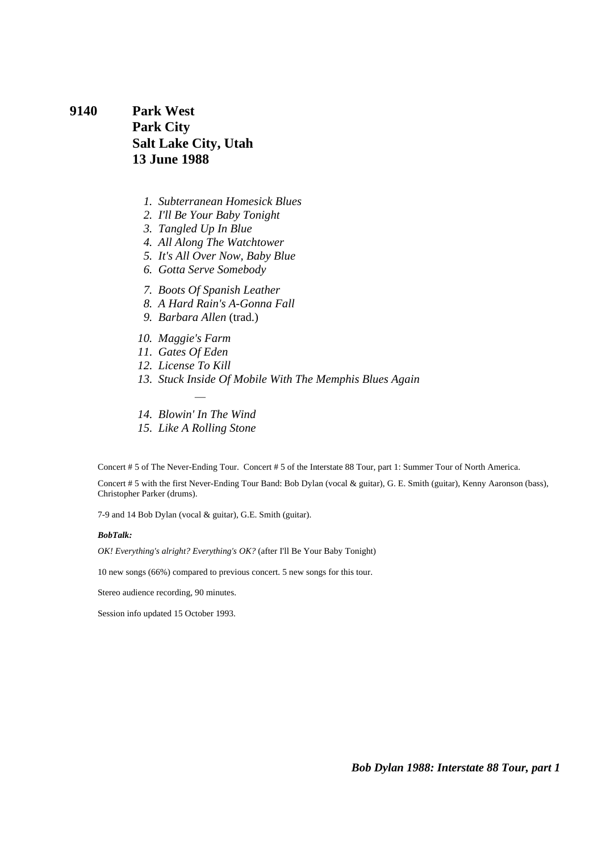**9140 Park West Park City Salt Lake City, Utah 13 June 1988** 

- *1. Subterranean Homesick Blues*
- *2. I'll Be Your Baby Tonight*
- *3. Tangled Up In Blue*
- *4. All Along The Watchtower*
- *5. It's All Over Now, Baby Blue*
- *6. Gotta Serve Somebody*
- *7. Boots Of Spanish Leather*
- *8. A Hard Rain's A-Gonna Fall*
- *9. Barbara Allen* (trad.)
- *10. Maggie's Farm*
- *11. Gates Of Eden*
- *12. License To Kill*
- *13. Stuck Inside Of Mobile With The Memphis Blues Again*
- ÷,  *14. Blowin' In The Wind*
- *15. Like A Rolling Stone*

Concert # 5 of The Never-Ending Tour. Concert # 5 of the Interstate 88 Tour, part 1: Summer Tour of North America.

Concert # 5 with the first Never-Ending Tour Band: Bob Dylan (vocal & guitar), G. E. Smith (guitar), Kenny Aaronson (bass), Christopher Parker (drums).

7-9 and 14 Bob Dylan (vocal & guitar), G.E. Smith (guitar).

#### *BobTalk:*

*OK! Everything's alright? Everything's OK?* (after I'll Be Your Baby Tonight)

10 new songs (66%) compared to previous concert. 5 new songs for this tour.

Stereo audience recording, 90 minutes.

Session info updated 15 October 1993.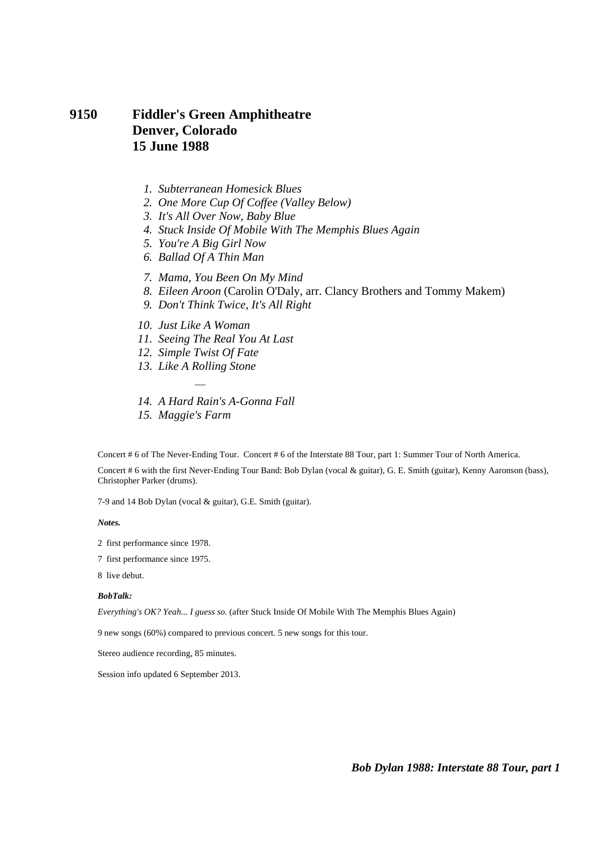# **9150 Fiddler's Green Amphitheatre Denver, Colorado 15 June 1988**

- *1. Subterranean Homesick Blues*
- *2. One More Cup Of Coffee (Valley Below)*
- *3. It's All Over Now, Baby Blue*
- *4. Stuck Inside Of Mobile With The Memphis Blues Again*
- *5. You're A Big Girl Now*
- *6. Ballad Of A Thin Man*
- *7. Mama, You Been On My Mind*
- *8. Eileen Aroon* (Carolin O'Daly, arr. Clancy Brothers and Tommy Makem)
- *9. Don't Think Twice, It's All Right*
- *10. Just Like A Woman*
- *11. Seeing The Real You At Last*
- *12. Simple Twist Of Fate*
- *13. Like A Rolling Stone*  e<br>T
- *14. A Hard Rain's A-Gonna Fall*
- *15. Maggie's Farm*

Concert # 6 of The Never-Ending Tour. Concert # 6 of the Interstate 88 Tour, part 1: Summer Tour of North America.

Concert # 6 with the first Never-Ending Tour Band: Bob Dylan (vocal & guitar), G. E. Smith (guitar), Kenny Aaronson (bass), Christopher Parker (drums).

7-9 and 14 Bob Dylan (vocal & guitar), G.E. Smith (guitar).

*Notes.* 

- 2 first performance since 1978.
- 7 first performance since 1975.
- 8 live debut.

#### *BobTalk:*

*Everything's OK? Yeah... I guess so.* (after Stuck Inside Of Mobile With The Memphis Blues Again)

9 new songs (60%) compared to previous concert. 5 new songs for this tour.

Stereo audience recording, 85 minutes.

Session info updated 6 September 2013.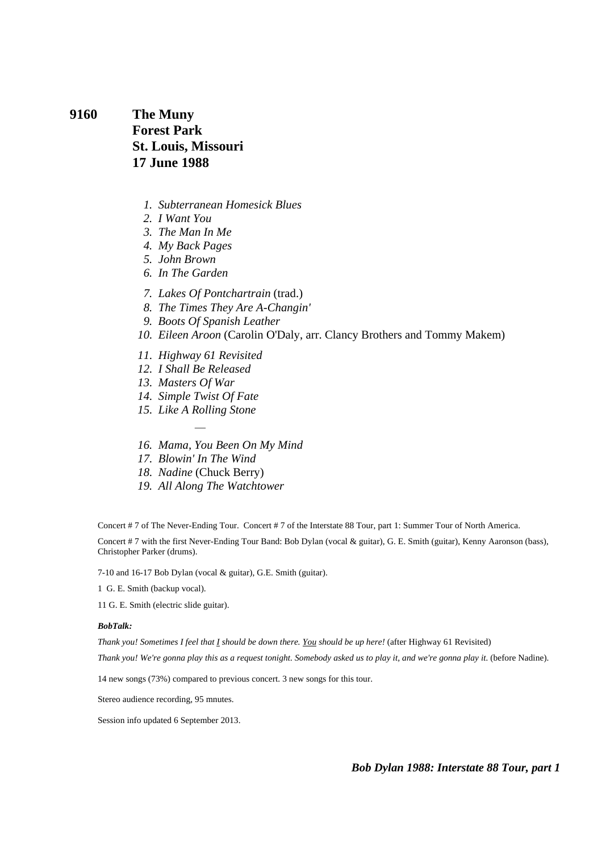**9160 The Muny Forest Park St. Louis, Missouri 17 June 1988** 

- *1. Subterranean Homesick Blues*
- *2. I Want You*
- *3. The Man In Me*
- *4. My Back Pages*
- *5. John Brown*
- *6. In The Garden*
- *7. Lakes Of Pontchartrain* (trad.)
- *8. The Times They Are A-Changin'*
- *9. Boots Of Spanish Leather*
- *10. Eileen Aroon* (Carolin O'Daly, arr. Clancy Brothers and Tommy Makem)
- *11. Highway 61 Revisited*
- *12. I Shall Be Released*
- *13. Masters Of War*
- *14. Simple Twist Of Fate*
- *15. Like A Rolling Stone*  ÷,
- *16. Mama, You Been On My Mind*
- *17. Blowin' In The Wind*
- *18. Nadine* (Chuck Berry)
- *19. All Along The Watchtower*

Concert # 7 of The Never-Ending Tour. Concert # 7 of the Interstate 88 Tour, part 1: Summer Tour of North America.

Concert # 7 with the first Never-Ending Tour Band: Bob Dylan (vocal & guitar), G. E. Smith (guitar), Kenny Aaronson (bass), Christopher Parker (drums).

7-10 and 16-17 Bob Dylan (vocal & guitar), G.E. Smith (guitar).

1 G. E. Smith (backup vocal).

11 G. E. Smith (electric slide guitar).

#### *BobTalk:*

*Thank you! Sometimes I feel that I should be down there. You should be up here!* (after Highway 61 Revisited)

*Thank you! We're gonna play this as a request tonight. Somebody asked us to play it, and we're gonna play it.* (before Nadine).

14 new songs (73%) compared to previous concert. 3 new songs for this tour.

Stereo audience recording, 95 mnutes.

Session info updated 6 September 2013.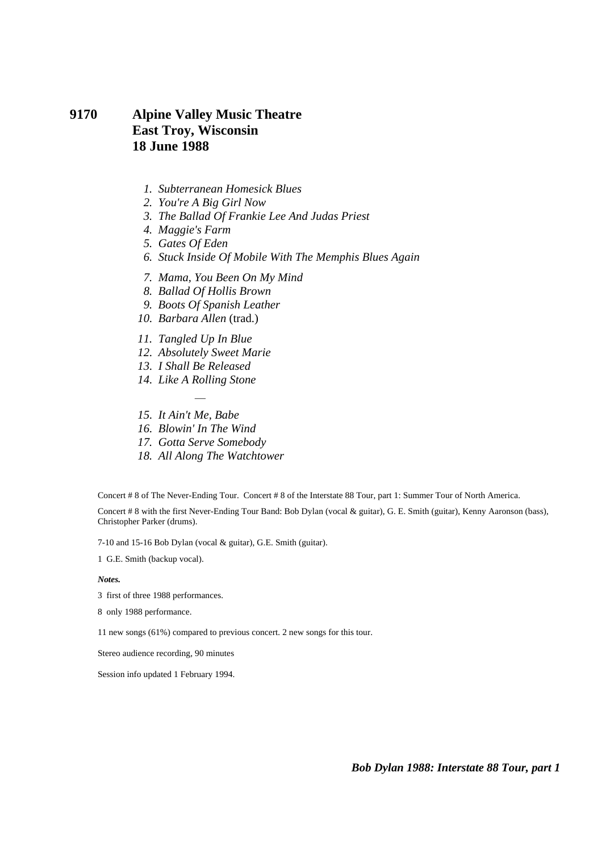## **9170 Alpine Valley Music Theatre East Troy, Wisconsin 18 June 1988**

- *1. Subterranean Homesick Blues*
- *2. You're A Big Girl Now*
- *3. The Ballad Of Frankie Lee And Judas Priest*
- *4. Maggie's Farm*
- *5. Gates Of Eden*
- *6. Stuck Inside Of Mobile With The Memphis Blues Again*
- *7. Mama, You Been On My Mind*
- *8. Ballad Of Hollis Brown*
- *9. Boots Of Spanish Leather*
- *10. Barbara Allen* (trad.)
- *11. Tangled Up In Blue*
- *12. Absolutely Sweet Marie*
- *13. I Shall Be Released*
- *14. Like A Rolling Stone*  e<br>T
- *15. It Ain't Me, Babe*
- *16. Blowin' In The Wind*
- *17. Gotta Serve Somebody*
- *18. All Along The Watchtower*

Concert # 8 of The Never-Ending Tour. Concert # 8 of the Interstate 88 Tour, part 1: Summer Tour of North America.

Concert # 8 with the first Never-Ending Tour Band: Bob Dylan (vocal & guitar), G. E. Smith (guitar), Kenny Aaronson (bass), Christopher Parker (drums).

7-10 and 15-16 Bob Dylan (vocal & guitar), G.E. Smith (guitar).

1 G.E. Smith (backup vocal).

*Notes.* 

- 3 first of three 1988 performances.
- 8 only 1988 performance.
- 11 new songs (61%) compared to previous concert. 2 new songs for this tour.

Stereo audience recording, 90 minutes

Session info updated 1 February 1994.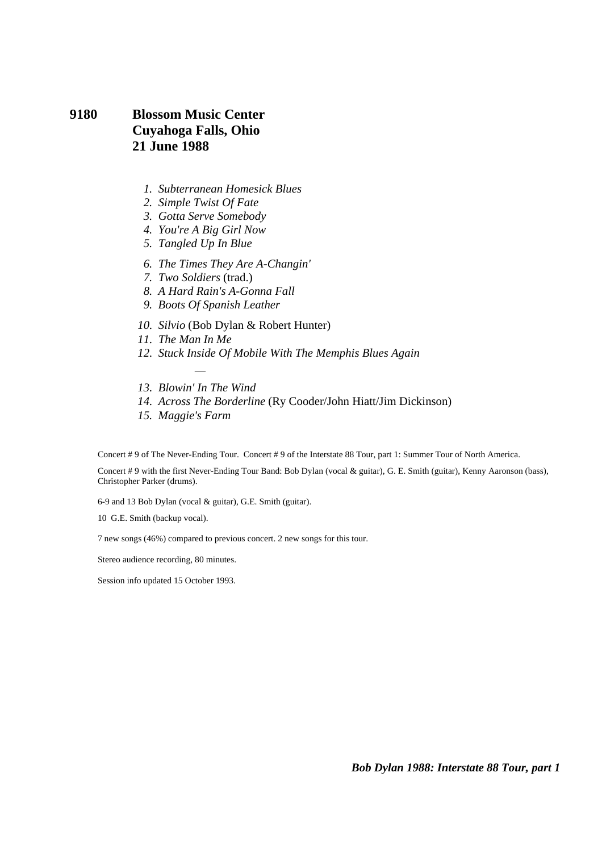# **9180 Blossom Music Center Cuyahoga Falls, Ohio 21 June 1988**

- *1. Subterranean Homesick Blues*
- *2. Simple Twist Of Fate*
- *3. Gotta Serve Somebody*
- *4. You're A Big Girl Now*
- *5. Tangled Up In Blue*
- *6. The Times They Are A-Changin'*
- *7. Two Soldiers* (trad.)
- *8. A Hard Rain's A-Gonna Fall*
- *9. Boots Of Spanish Leather*
- *10. Silvio* (Bob Dylan & Robert Hunter)
- *11. The Man In Me*
- *12. Stuck Inside Of Mobile With The Memphis Blues Again*
- ÷,  *13. Blowin' In The Wind*
- *14. Across The Borderline* (Ry Cooder/John Hiatt/Jim Dickinson)
- *15. Maggie's Farm*

Concert # 9 of The Never-Ending Tour. Concert # 9 of the Interstate 88 Tour, part 1: Summer Tour of North America.

Concert # 9 with the first Never-Ending Tour Band: Bob Dylan (vocal & guitar), G. E. Smith (guitar), Kenny Aaronson (bass), Christopher Parker (drums).

6-9 and 13 Bob Dylan (vocal & guitar), G.E. Smith (guitar).

10 G.E. Smith (backup vocal).

7 new songs (46%) compared to previous concert. 2 new songs for this tour.

Stereo audience recording, 80 minutes.

Session info updated 15 October 1993.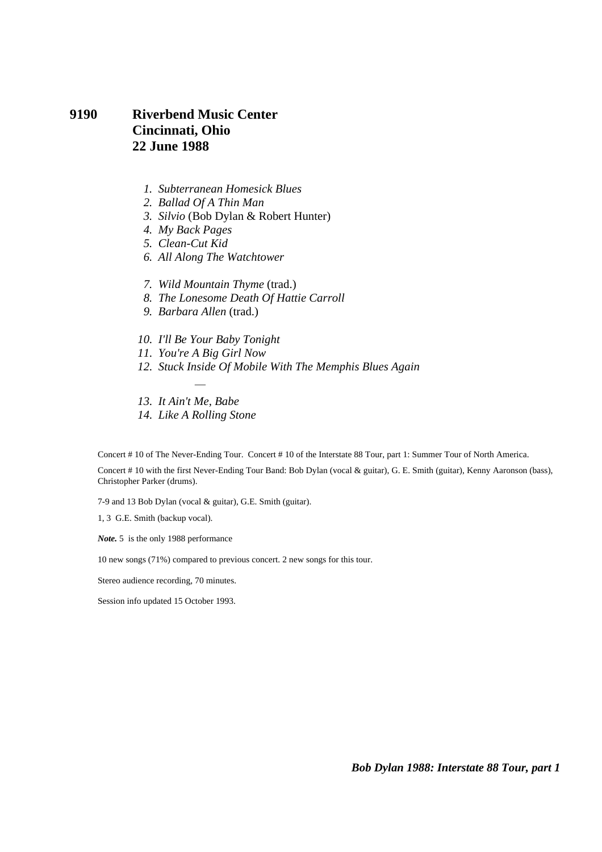# **9190 Riverbend Music Center Cincinnati, Ohio 22 June 1988**

- *1. Subterranean Homesick Blues*
- *2. Ballad Of A Thin Man*
- *3. Silvio* (Bob Dylan & Robert Hunter)
- *4. My Back Pages*
- *5. Clean-Cut Kid*
- *6. All Along The Watchtower*
- *7. Wild Mountain Thyme* (trad.)
- *8. The Lonesome Death Of Hattie Carroll*
- *9. Barbara Allen* (trad.)
- *10. I'll Be Your Baby Tonight*
- *11. You're A Big Girl Now*

÷,

- *12. Stuck Inside Of Mobile With The Memphis Blues Again*
- *13. It Ain't Me, Babe*
- *14. Like A Rolling Stone*

Concert # 10 of The Never-Ending Tour. Concert # 10 of the Interstate 88 Tour, part 1: Summer Tour of North America.

Concert # 10 with the first Never-Ending Tour Band: Bob Dylan (vocal & guitar), G. E. Smith (guitar), Kenny Aaronson (bass), Christopher Parker (drums).

7-9 and 13 Bob Dylan (vocal & guitar), G.E. Smith (guitar).

1, 3 G.E. Smith (backup vocal).

*Note.* 5 is the only 1988 performance

10 new songs (71%) compared to previous concert. 2 new songs for this tour.

Stereo audience recording, 70 minutes.

Session info updated 15 October 1993.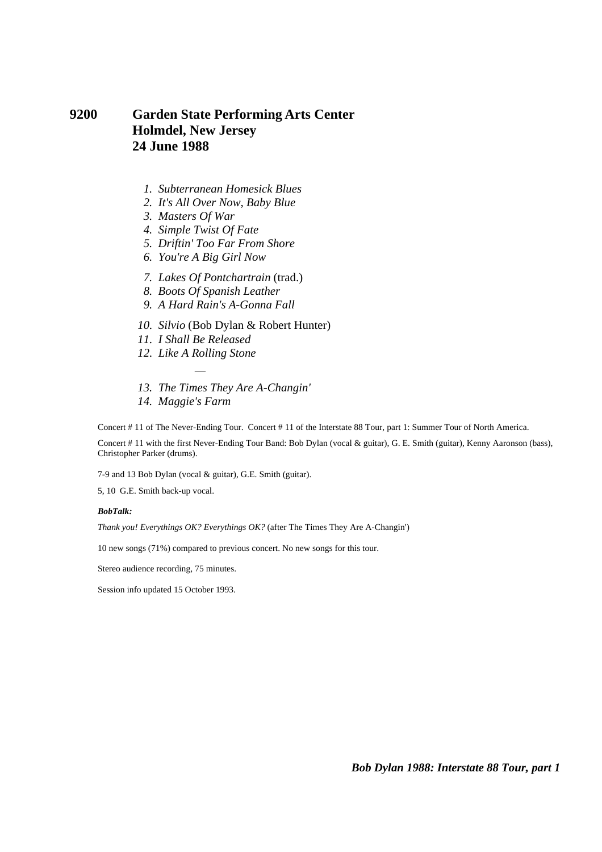# **9200 Garden State Performing Arts Center Holmdel, New Jersey 24 June 1988**

- *1. Subterranean Homesick Blues*
- *2. It's All Over Now, Baby Blue*
- *3. Masters Of War*
- *4. Simple Twist Of Fate*
- *5. Driftin' Too Far From Shore*
- *6. You're A Big Girl Now*
- *7. Lakes Of Pontchartrain* (trad.)
- *8. Boots Of Spanish Leather*
- *9. A Hard Rain's A-Gonna Fall*
- *10. Silvio* (Bob Dylan & Robert Hunter)
- *11. I Shall Be Released*
- *12. Like A Rolling Stone*  ÷,
- *13. The Times They Are A-Changin'*
- *14. Maggie's Farm*

Concert # 11 of The Never-Ending Tour. Concert # 11 of the Interstate 88 Tour, part 1: Summer Tour of North America.

Concert # 11 with the first Never-Ending Tour Band: Bob Dylan (vocal & guitar), G. E. Smith (guitar), Kenny Aaronson (bass), Christopher Parker (drums).

7-9 and 13 Bob Dylan (vocal & guitar), G.E. Smith (guitar).

5, 10 G.E. Smith back-up vocal.

#### *BobTalk:*

*Thank you! Everythings OK? Everythings OK?* (after The Times They Are A-Changin')

10 new songs (71%) compared to previous concert. No new songs for this tour.

Stereo audience recording, 75 minutes.

Session info updated 15 October 1993.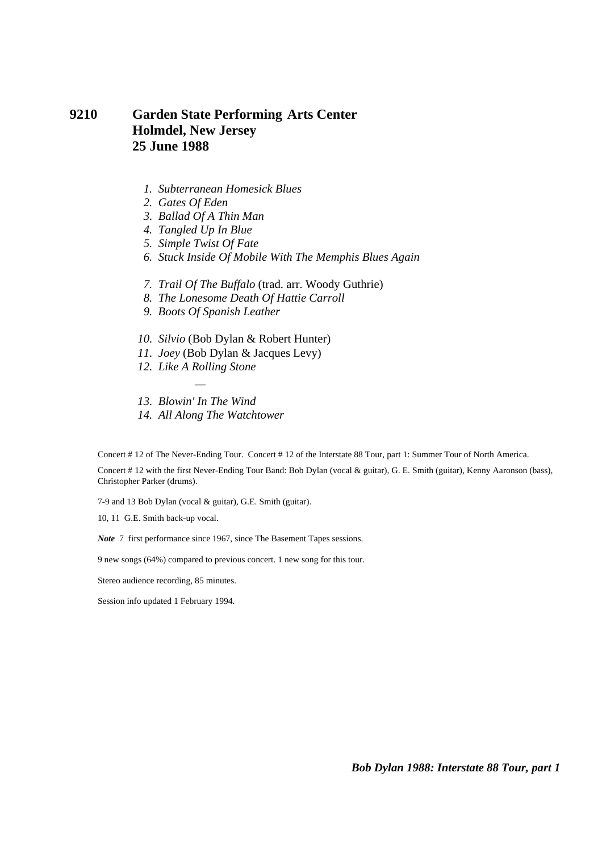## **9210 Garden State Performing Arts Center Holmdel, New Jersey 25 June 1988**

- *1. Subterranean Homesick Blues*
- *2. Gates Of Eden*
- *3. Ballad Of A Thin Man*
- *4. Tangled Up In Blue*
- *5. Simple Twist Of Fate*
- *6. Stuck Inside Of Mobile With The Memphis Blues Again*
- *7. Trail Of The Buffalo* (trad. arr. Woody Guthrie)
- *8. The Lonesome Death Of Hattie Carroll*
- *9. Boots Of Spanish Leather*
- *10. Silvio* (Bob Dylan & Robert Hunter)
- *11. Joey* (Bob Dylan & Jacques Levy)
- *12. Like A Rolling Stone*
- ÷,  *13. Blowin' In The Wind*
- *14. All Along The Watchtower*

Concert # 12 of The Never-Ending Tour. Concert # 12 of the Interstate 88 Tour, part 1: Summer Tour of North America.

Concert # 12 with the first Never-Ending Tour Band: Bob Dylan (vocal & guitar), G. E. Smith (guitar), Kenny Aaronson (bass), Christopher Parker (drums).

7-9 and 13 Bob Dylan (vocal & guitar), G.E. Smith (guitar).

10, 11 G.E. Smith back-up vocal.

*Note* 7 first performance since 1967, since The Basement Tapes sessions.

9 new songs (64%) compared to previous concert. 1 new song for this tour.

Stereo audience recording, 85 minutes.

Session info updated 1 February 1994.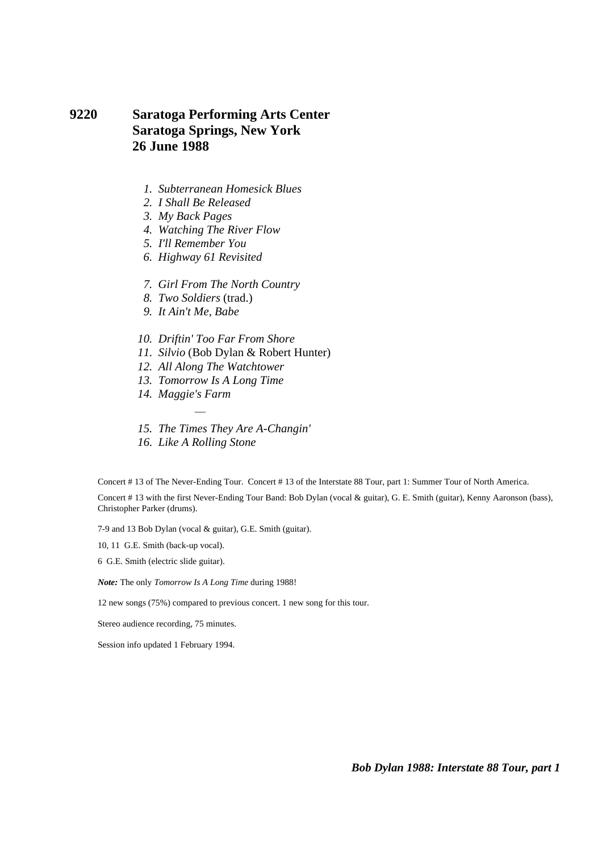## **9220 Saratoga Performing Arts Center Saratoga Springs, New York 26 June 1988**

- *1. Subterranean Homesick Blues*
- *2. I Shall Be Released*
- *3. My Back Pages*
- *4. Watching The River Flow*
- *5. I'll Remember You*
- *6. Highway 61 Revisited*
- *7. Girl From The North Country*
- *8. Two Soldiers* (trad.)
- *9. It Ain't Me, Babe*
- *10. Driftin' Too Far From Shore*
- *11. Silvio* (Bob Dylan & Robert Hunter)
- *12. All Along The Watchtower*
- *13. Tomorrow Is A Long Time*
- *14. Maggie's Farm*
- *15. The Times They Are A-Changin'*
- *16. Like A Rolling Stone*

÷,

Concert # 13 of The Never-Ending Tour. Concert # 13 of the Interstate 88 Tour, part 1: Summer Tour of North America.

Concert # 13 with the first Never-Ending Tour Band: Bob Dylan (vocal & guitar), G. E. Smith (guitar), Kenny Aaronson (bass), Christopher Parker (drums).

7-9 and 13 Bob Dylan (vocal & guitar), G.E. Smith (guitar).

10, 11 G.E. Smith (back-up vocal).

6 G.E. Smith (electric slide guitar).

*Note:* The only *Tomorrow Is A Long Time* during 1988!

12 new songs (75%) compared to previous concert. 1 new song for this tour.

Stereo audience recording, 75 minutes.

Session info updated 1 February 1994.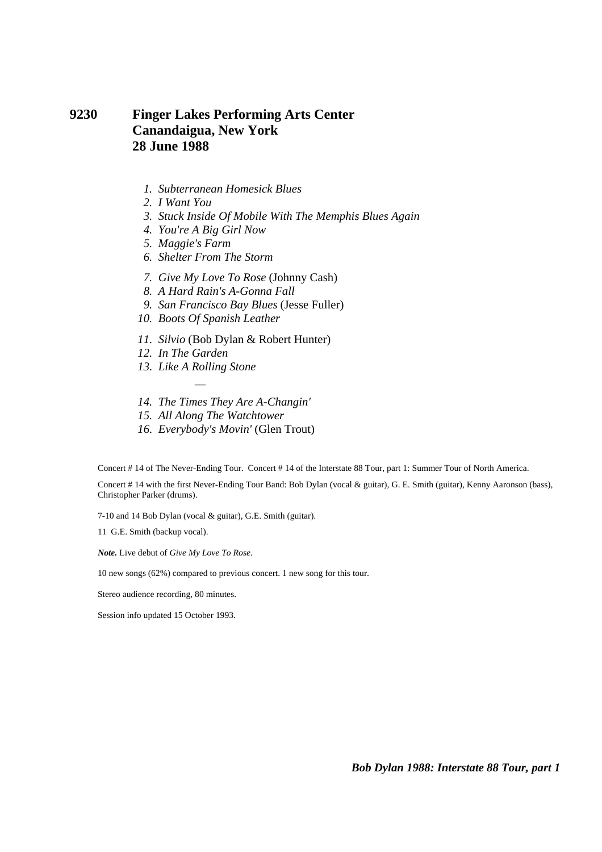### **9230 Finger Lakes Performing Arts Center Canandaigua, New York 28 June 1988**

- *1. Subterranean Homesick Blues*
- *2. I Want You*
- *3. Stuck Inside Of Mobile With The Memphis Blues Again*
- *4. You're A Big Girl Now*
- *5. Maggie's Farm*
- *6. Shelter From The Storm*
- *7. Give My Love To Rose* (Johnny Cash)
- *8. A Hard Rain's A-Gonna Fall*
- *9. San Francisco Bay Blues* (Jesse Fuller)
- *10. Boots Of Spanish Leather*
- *11. Silvio* (Bob Dylan & Robert Hunter)
- *12. In The Garden*
- *13. Like A Rolling Stone*  ÷,
- *14. The Times They Are A-Changin'*
- *15. All Along The Watchtower*
- *16. Everybody's Movin'* (Glen Trout)

Concert # 14 of The Never-Ending Tour. Concert # 14 of the Interstate 88 Tour, part 1: Summer Tour of North America.

Concert # 14 with the first Never-Ending Tour Band: Bob Dylan (vocal & guitar), G. E. Smith (guitar), Kenny Aaronson (bass), Christopher Parker (drums).

7-10 and 14 Bob Dylan (vocal & guitar), G.E. Smith (guitar).

11 G.E. Smith (backup vocal).

*Note.* Live debut of *Give My Love To Rose*.

10 new songs (62%) compared to previous concert. 1 new song for this tour.

Stereo audience recording, 80 minutes.

Session info updated 15 October 1993.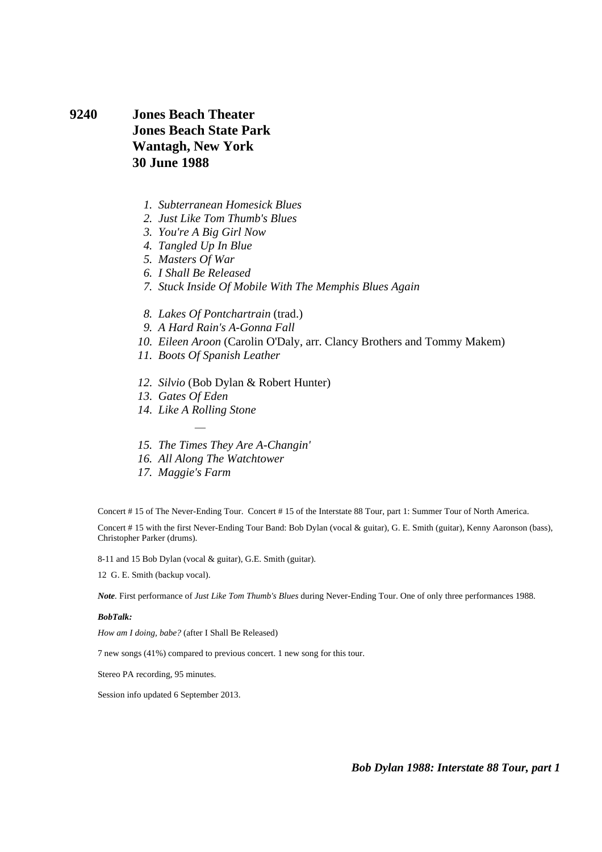#### **9240 Jones Beach Theater Jones Beach State Park Wantagh, New York 30 June 1988**

- *1. Subterranean Homesick Blues*
- *2. Just Like Tom Thumb's Blues*
- *3. You're A Big Girl Now*
- *4. Tangled Up In Blue*
- *5. Masters Of War*
- *6. I Shall Be Released*
- *7. Stuck Inside Of Mobile With The Memphis Blues Again*
- *8. Lakes Of Pontchartrain* (trad.)
- *9. A Hard Rain's A-Gonna Fall*
- *10. Eileen Aroon* (Carolin O'Daly, arr. Clancy Brothers and Tommy Makem)
- *11. Boots Of Spanish Leather*
- *12. Silvio* (Bob Dylan & Robert Hunter)
- *13. Gates Of Eden*
- *14. Like A Rolling Stone*  ÷,
- *15. The Times They Are A-Changin'*
- *16. All Along The Watchtower*
- *17. Maggie's Farm*

Concert # 15 of The Never-Ending Tour. Concert # 15 of the Interstate 88 Tour, part 1: Summer Tour of North America.

Concert # 15 with the first Never-Ending Tour Band: Bob Dylan (vocal & guitar), G. E. Smith (guitar), Kenny Aaronson (bass), Christopher Parker (drums).

8-11 and 15 Bob Dylan (vocal & guitar), G.E. Smith (guitar).

12 G. E. Smith (backup vocal).

*Note.* First performance of *Just Like Tom Thumb's Blues* during Never-Ending Tour. One of only three performances 1988.

#### *BobTalk:*

*How am I doing, babe?* (after I Shall Be Released)

7 new songs (41%) compared to previous concert. 1 new song for this tour.

Stereo PA recording, 95 minutes.

Session info updated 6 September 2013.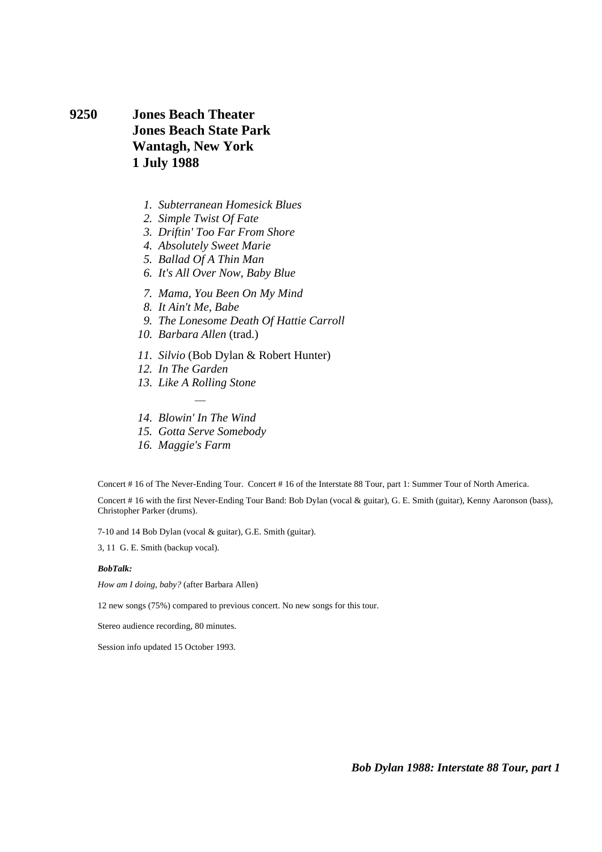**9250 Jones Beach Theater Jones Beach State Park Wantagh, New York 1 July 1988** 

- *1. Subterranean Homesick Blues*
- *2. Simple Twist Of Fate*
- *3. Driftin' Too Far From Shore*
- *4. Absolutely Sweet Marie*
- *5. Ballad Of A Thin Man*
- *6. It's All Over Now, Baby Blue*
- *7. Mama, You Been On My Mind*
- *8. It Ain't Me, Babe*
- *9. The Lonesome Death Of Hattie Carroll*
- *10. Barbara Allen* (trad.)
- *11. Silvio* (Bob Dylan & Robert Hunter)
- *12. In The Garden*
- *13. Like A Rolling Stone*  ÷,
- *14. Blowin' In The Wind*
- *15. Gotta Serve Somebody*
- *16. Maggie's Farm*

Concert # 16 of The Never-Ending Tour. Concert # 16 of the Interstate 88 Tour, part 1: Summer Tour of North America. Concert # 16 with the first Never-Ending Tour Band: Bob Dylan (vocal & guitar), G. E. Smith (guitar), Kenny Aaronson (bass), Christopher Parker (drums).

7-10 and 14 Bob Dylan (vocal & guitar), G.E. Smith (guitar).

3, 11 G. E. Smith (backup vocal).

#### *BobTalk:*

*How am I doing, baby?* (after Barbara Allen)

12 new songs (75%) compared to previous concert. No new songs for this tour.

Stereo audience recording, 80 minutes.

Session info updated 15 October 1993.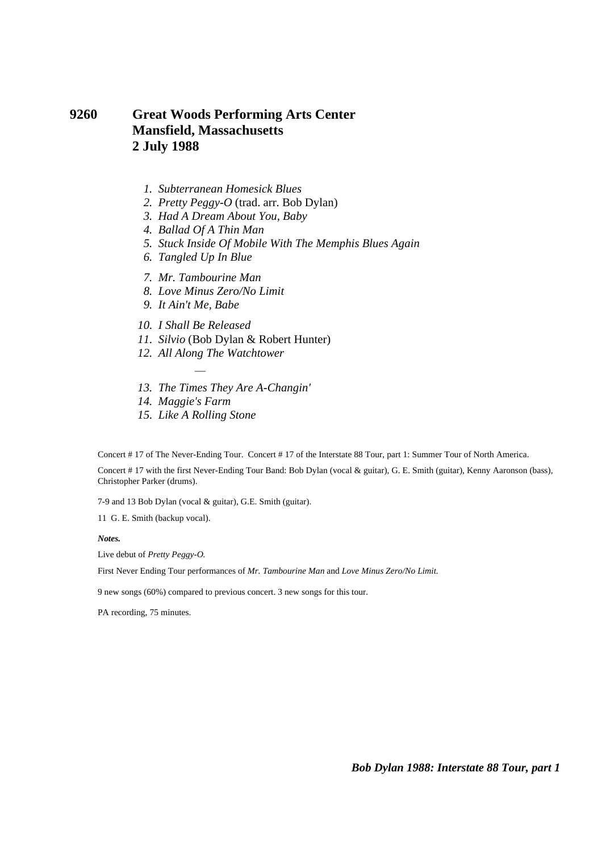### **9260 Great Woods Performing Arts Center Mansfield, Massachusetts 2 July 1988**

- *1. Subterranean Homesick Blues*
- *2. Pretty Peggy-O* (trad. arr. Bob Dylan)
- *3. Had A Dream About You, Baby*
- *4. Ballad Of A Thin Man*
- *5. Stuck Inside Of Mobile With The Memphis Blues Again*
- *6. Tangled Up In Blue*
- *7. Mr. Tambourine Man*
- *8. Love Minus Zero/No Limit*
- *9. It Ain't Me, Babe*
- *10. I Shall Be Released*
- *11. Silvio* (Bob Dylan & Robert Hunter)
- *12. All Along The Watchtower*
- *13. The Times They Are A-Changin'*
- *14. Maggie's Farm*
- *15. Like A Rolling Stone*

÷,

Concert # 17 of The Never-Ending Tour. Concert # 17 of the Interstate 88 Tour, part 1: Summer Tour of North America.

Concert # 17 with the first Never-Ending Tour Band: Bob Dylan (vocal & guitar), G. E. Smith (guitar), Kenny Aaronson (bass), Christopher Parker (drums).

7-9 and 13 Bob Dylan (vocal & guitar), G.E. Smith (guitar).

11 G. E. Smith (backup vocal).

*Notes.* 

Live debut of *Pretty Peggy-O.*

First Never Ending Tour performances of *Mr. Tambourine Man* and *Love Minus Zero/No Limit.*

9 new songs (60%) compared to previous concert. 3 new songs for this tour.

PA recording, 75 minutes.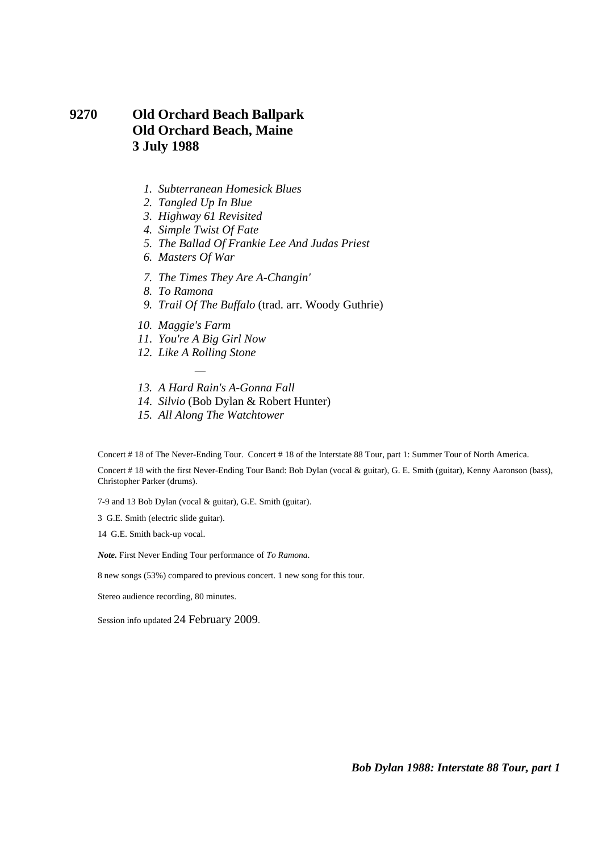# **9270 Old Orchard Beach Ballpark Old Orchard Beach, Maine 3 July 1988**

- *1. Subterranean Homesick Blues*
- *2. Tangled Up In Blue*
- *3. Highway 61 Revisited*
- *4. Simple Twist Of Fate*
- *5. The Ballad Of Frankie Lee And Judas Priest*
- *6. Masters Of War*
- *7. The Times They Are A-Changin'*
- *8. To Ramona*
- *9. Trail Of The Buffalo* (trad. arr. Woody Guthrie)
- *10. Maggie's Farm*
- *11. You're A Big Girl Now*
- *12. Like A Rolling Stone*  ÷,
- *13. A Hard Rain's A-Gonna Fall*
- *14. Silvio* (Bob Dylan & Robert Hunter)
- *15. All Along The Watchtower*

Concert # 18 of The Never-Ending Tour. Concert # 18 of the Interstate 88 Tour, part 1: Summer Tour of North America.

Concert # 18 with the first Never-Ending Tour Band: Bob Dylan (vocal & guitar), G. E. Smith (guitar), Kenny Aaronson (bass), Christopher Parker (drums).

7-9 and 13 Bob Dylan (vocal & guitar), G.E. Smith (guitar).

3 G.E. Smith (electric slide guitar).

14 G.E. Smith back-up vocal.

*Note.* First Never Ending Tour performance of *To Ramona*.

8 new songs (53%) compared to previous concert. 1 new song for this tour.

Stereo audience recording, 80 minutes.

Session info updated 24 February 2009.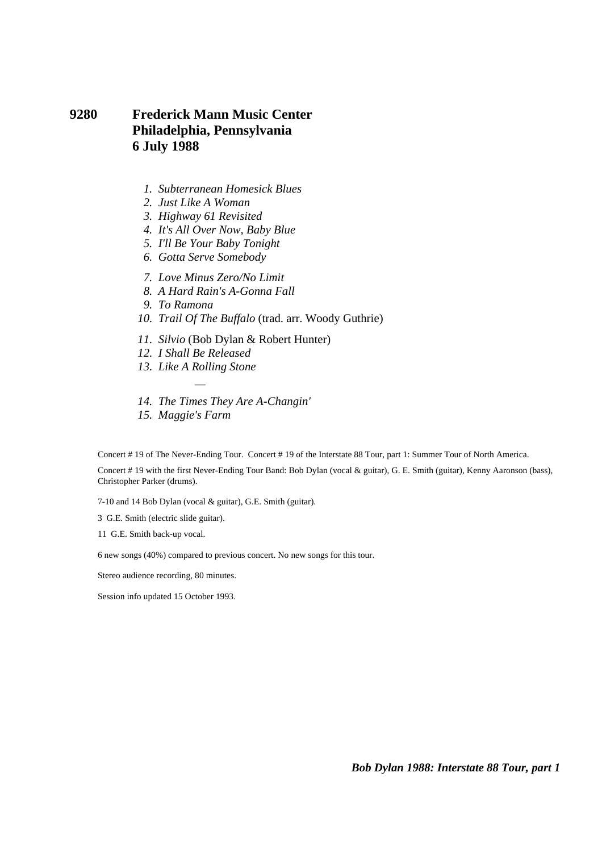# **9280 Frederick Mann Music Center Philadelphia, Pennsylvania 6 July 1988**

- *1. Subterranean Homesick Blues*
- *2. Just Like A Woman*
- *3. Highway 61 Revisited*
- *4. It's All Over Now, Baby Blue*
- *5. I'll Be Your Baby Tonight*
- *6. Gotta Serve Somebody*
- *7. Love Minus Zero/No Limit*
- *8. A Hard Rain's A-Gonna Fall*
- *9. To Ramona*
- *10. Trail Of The Buffalo* (trad. arr. Woody Guthrie)
- *11. Silvio* (Bob Dylan & Robert Hunter)
- *12. I Shall Be Released*
- *13. Like A Rolling Stone*  ÷,
- *14. The Times They Are A-Changin'*
- *15. Maggie's Farm*

Concert # 19 of The Never-Ending Tour. Concert # 19 of the Interstate 88 Tour, part 1: Summer Tour of North America.

Concert # 19 with the first Never-Ending Tour Band: Bob Dylan (vocal & guitar), G. E. Smith (guitar), Kenny Aaronson (bass), Christopher Parker (drums).

7-10 and 14 Bob Dylan (vocal & guitar), G.E. Smith (guitar).

- 3 G.E. Smith (electric slide guitar).
- 11 G.E. Smith back-up vocal.

6 new songs (40%) compared to previous concert. No new songs for this tour.

Stereo audience recording, 80 minutes.

Session info updated 15 October 1993.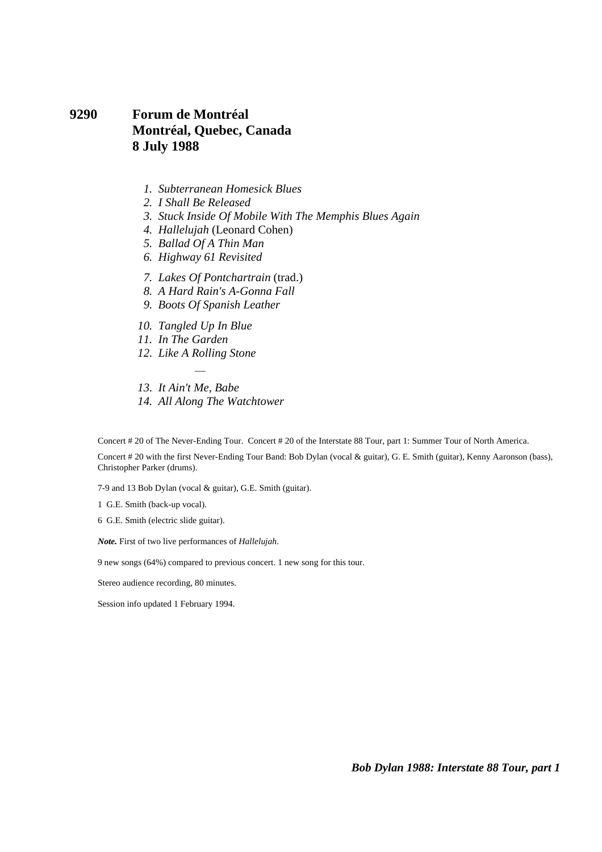### **9290 Forum de Montréal Montréal, Quebec, Canada 8 July 1988**

- *1. Subterranean Homesick Blues*
- *2. I Shall Be Released*
- *3. Stuck Inside Of Mobile With The Memphis Blues Again*
- *4. Hallelujah* (Leonard Cohen)
- *5. Ballad Of A Thin Man*
- *6. Highway 61 Revisited*
- *7. Lakes Of Pontchartrain* (trad.)
- *8. A Hard Rain's A-Gonna Fall*
- *9. Boots Of Spanish Leather*
- *10. Tangled Up In Blue*
- *11. In The Garden*
- *12. Like A Rolling Stone*  ÷,
- *13. It Ain't Me, Babe*
- *14. All Along The Watchtower*

Concert # 20 of The Never-Ending Tour. Concert # 20 of the Interstate 88 Tour, part 1: Summer Tour of North America.

Concert # 20 with the first Never-Ending Tour Band: Bob Dylan (vocal & guitar), G. E. Smith (guitar), Kenny Aaronson (bass), Christopher Parker (drums).

7-9 and 13 Bob Dylan (vocal & guitar), G.E. Smith (guitar).

1 G.E. Smith (back-up vocal).

6 G.E. Smith (electric slide guitar).

*Note.* First of two live performances of *Hallelujah*.

9 new songs (64%) compared to previous concert. 1 new song for this tour.

Stereo audience recording, 80 minutes.

Session info updated 1 February 1994.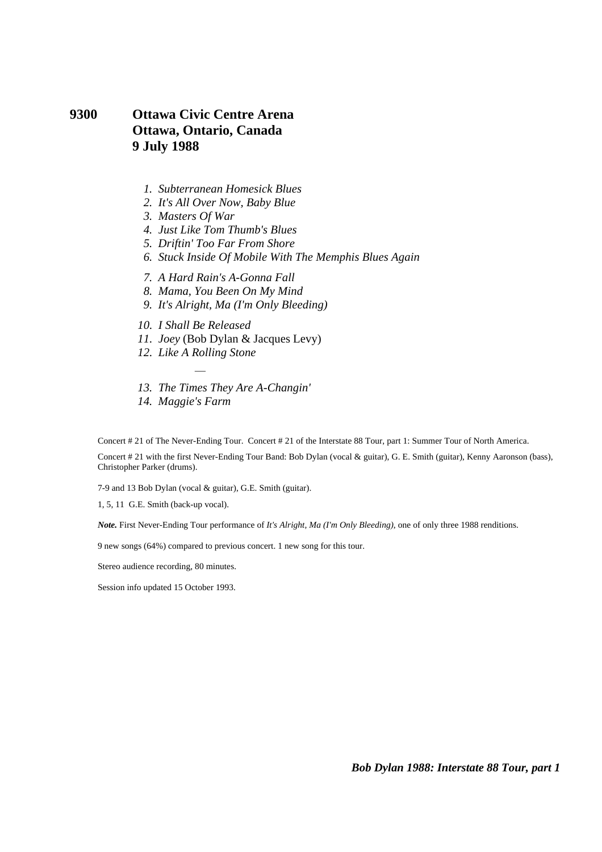### **9300 Ottawa Civic Centre Arena Ottawa, Ontario, Canada 9 July 1988**

- *1. Subterranean Homesick Blues*
- *2. It's All Over Now, Baby Blue*
- *3. Masters Of War*
- *4. Just Like Tom Thumb's Blues*
- *5. Driftin' Too Far From Shore*
- *6. Stuck Inside Of Mobile With The Memphis Blues Again*
- *7. A Hard Rain's A-Gonna Fall*
- *8. Mama, You Been On My Mind*
- *9. It's Alright, Ma (I'm Only Bleeding)*
- *10. I Shall Be Released*
- *11. Joey* (Bob Dylan & Jacques Levy)
- *12. Like A Rolling Stone*  ÷,
- *13. The Times They Are A-Changin'*
- *14. Maggie's Farm*

Concert # 21 of The Never-Ending Tour. Concert # 21 of the Interstate 88 Tour, part 1: Summer Tour of North America.

Concert # 21 with the first Never-Ending Tour Band: Bob Dylan (vocal & guitar), G. E. Smith (guitar), Kenny Aaronson (bass), Christopher Parker (drums).

7-9 and 13 Bob Dylan (vocal & guitar), G.E. Smith (guitar).

1, 5, 11 G.E. Smith (back-up vocal).

*Note.* First Never-Ending Tour performance of *It's Alright, Ma (I'm Only Bleeding)*, one of only three 1988 renditions.

9 new songs (64%) compared to previous concert. 1 new song for this tour.

Stereo audience recording, 80 minutes.

Session info updated 15 October 1993.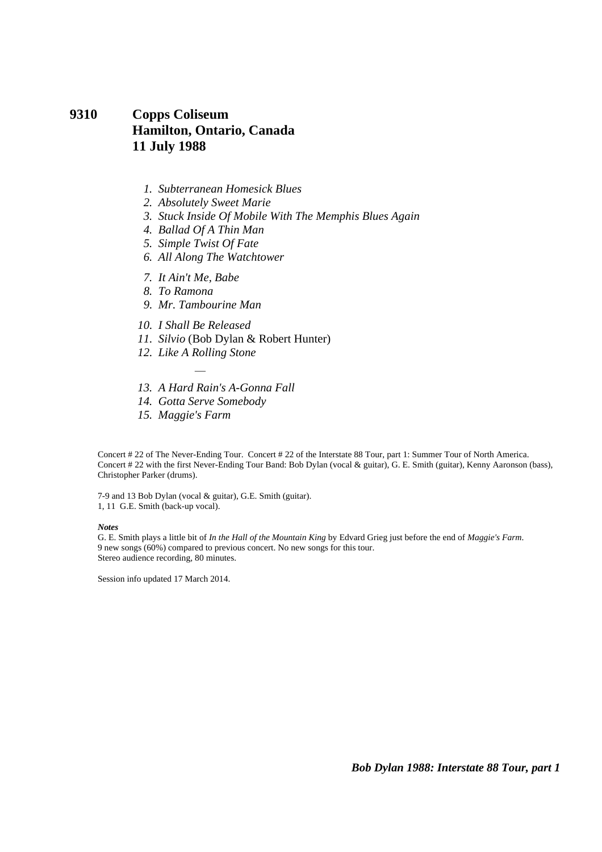# **9310 Copps Coliseum Hamilton, Ontario, Canada 11 July 1988**

- *1. Subterranean Homesick Blues*
- *2. Absolutely Sweet Marie*
- *3. Stuck Inside Of Mobile With The Memphis Blues Again*
- *4. Ballad Of A Thin Man*
- *5. Simple Twist Of Fate*
- *6. All Along The Watchtower*
- *7. It Ain't Me, Babe*
- *8. To Ramona*
- *9. Mr. Tambourine Man*
- *10. I Shall Be Released*
- *11. Silvio* (Bob Dylan & Robert Hunter)
- *12. Like A Rolling Stone*  ÷,
- *13. A Hard Rain's A-Gonna Fall*
- *14. Gotta Serve Somebody*
- *15. Maggie's Farm*

Concert # 22 of The Never-Ending Tour. Concert # 22 of the Interstate 88 Tour, part 1: Summer Tour of North America. Concert # 22 with the first Never-Ending Tour Band: Bob Dylan (vocal & guitar), G. E. Smith (guitar), Kenny Aaronson (bass), Christopher Parker (drums).

7-9 and 13 Bob Dylan (vocal & guitar), G.E. Smith (guitar). 1, 11 G.E. Smith (back-up vocal).

#### *Notes*

G. E. Smith plays a little bit of *In the Hall of the Mountain King* by Edvard Grieg just before the end of *Maggie's Farm*. 9 new songs (60%) compared to previous concert. No new songs for this tour. Stereo audience recording, 80 minutes.

Session info updated 17 March 2014.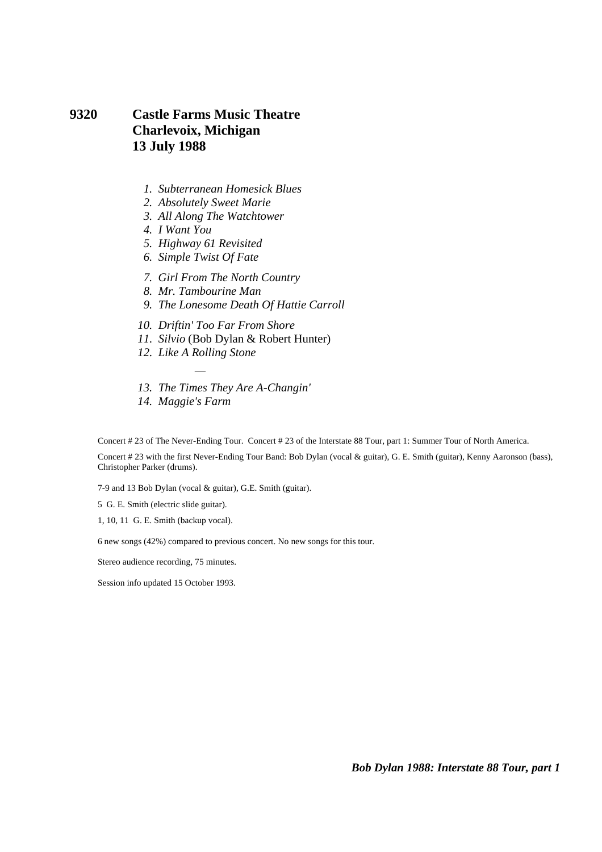## **9320 Castle Farms Music Theatre Charlevoix, Michigan 13 July 1988**

- *1. Subterranean Homesick Blues*
- *2. Absolutely Sweet Marie*
- *3. All Along The Watchtower*
- *4. I Want You*
- *5. Highway 61 Revisited*
- *6. Simple Twist Of Fate*
- *7. Girl From The North Country*
- *8. Mr. Tambourine Man*
- *9. The Lonesome Death Of Hattie Carroll*
- *10. Driftin' Too Far From Shore*
- *11. Silvio* (Bob Dylan & Robert Hunter)
- *12. Like A Rolling Stone*  ÷,
- *13. The Times They Are A-Changin'*
- *14. Maggie's Farm*

Concert # 23 of The Never-Ending Tour. Concert # 23 of the Interstate 88 Tour, part 1: Summer Tour of North America.

Concert # 23 with the first Never-Ending Tour Band: Bob Dylan (vocal & guitar), G. E. Smith (guitar), Kenny Aaronson (bass), Christopher Parker (drums).

7-9 and 13 Bob Dylan (vocal & guitar), G.E. Smith (guitar).

5 G. E. Smith (electric slide guitar).

1, 10, 11 G. E. Smith (backup vocal).

6 new songs (42%) compared to previous concert. No new songs for this tour.

Stereo audience recording, 75 minutes.

Session info updated 15 October 1993.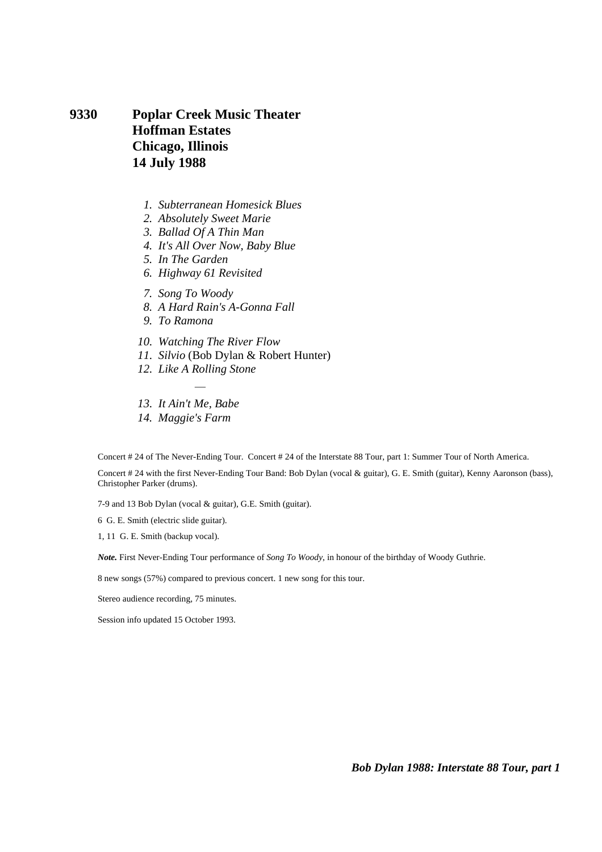**9330 Poplar Creek Music Theater Hoffman Estates Chicago, Illinois 14 July 1988** 

- *1. Subterranean Homesick Blues*
- *2. Absolutely Sweet Marie*
- *3. Ballad Of A Thin Man*
- *4. It's All Over Now, Baby Blue*
- *5. In The Garden*
- *6. Highway 61 Revisited*
- *7. Song To Woody*
- *8. A Hard Rain's A-Gonna Fall*
- *9. To Ramona*
- *10. Watching The River Flow*
- *11. Silvio* (Bob Dylan & Robert Hunter)
- *12. Like A Rolling Stone*  ÷,
- *13. It Ain't Me, Babe*
- *14. Maggie's Farm*

Concert # 24 of The Never-Ending Tour. Concert # 24 of the Interstate 88 Tour, part 1: Summer Tour of North America.

Concert # 24 with the first Never-Ending Tour Band: Bob Dylan (vocal & guitar), G. E. Smith (guitar), Kenny Aaronson (bass), Christopher Parker (drums).

7-9 and 13 Bob Dylan (vocal & guitar), G.E. Smith (guitar).

6 G. E. Smith (electric slide guitar).

1, 11 G. E. Smith (backup vocal).

*Note.* First Never-Ending Tour performance of *Song To Woody*, in honour of the birthday of Woody Guthrie.

8 new songs (57%) compared to previous concert. 1 new song for this tour.

Stereo audience recording, 75 minutes.

Session info updated 15 October 1993.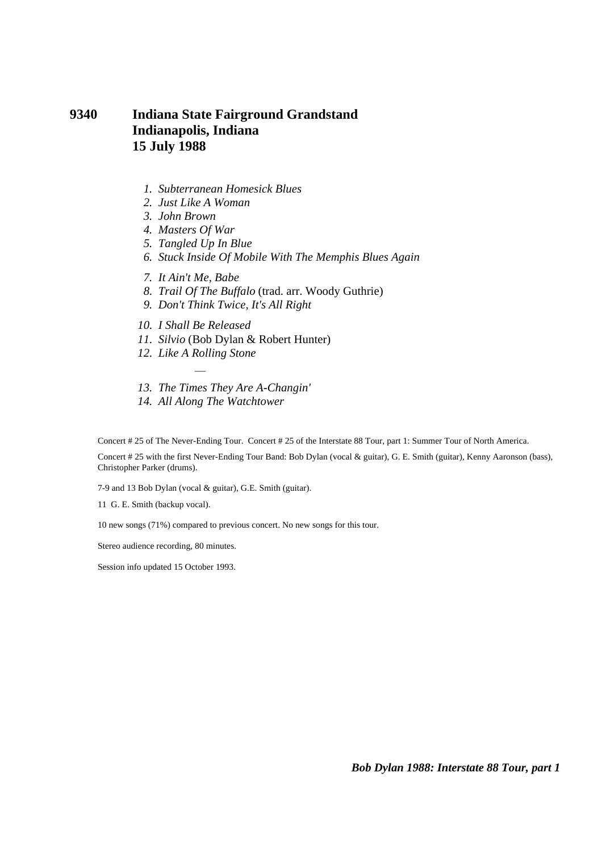# **9340 Indiana State Fairground Grandstand Indianapolis, Indiana 15 July 1988**

- *1. Subterranean Homesick Blues*
- *2. Just Like A Woman*
- *3. John Brown*
- *4. Masters Of War*
- *5. Tangled Up In Blue*
- *6. Stuck Inside Of Mobile With The Memphis Blues Again*
- *7. It Ain't Me, Babe*
- *8. Trail Of The Buffalo* (trad. arr. Woody Guthrie)
- *9. Don't Think Twice, It's All Right*
- *10. I Shall Be Released*
- *11. Silvio* (Bob Dylan & Robert Hunter)
- *12. Like A Rolling Stone*  ÷,
- *13. The Times They Are A-Changin'*
- *14. All Along The Watchtower*

Concert # 25 of The Never-Ending Tour. Concert # 25 of the Interstate 88 Tour, part 1: Summer Tour of North America.

Concert # 25 with the first Never-Ending Tour Band: Bob Dylan (vocal & guitar), G. E. Smith (guitar), Kenny Aaronson (bass), Christopher Parker (drums).

7-9 and 13 Bob Dylan (vocal & guitar), G.E. Smith (guitar).

11 G. E. Smith (backup vocal).

10 new songs (71%) compared to previous concert. No new songs for this tour.

Stereo audience recording, 80 minutes.

Session info updated 15 October 1993.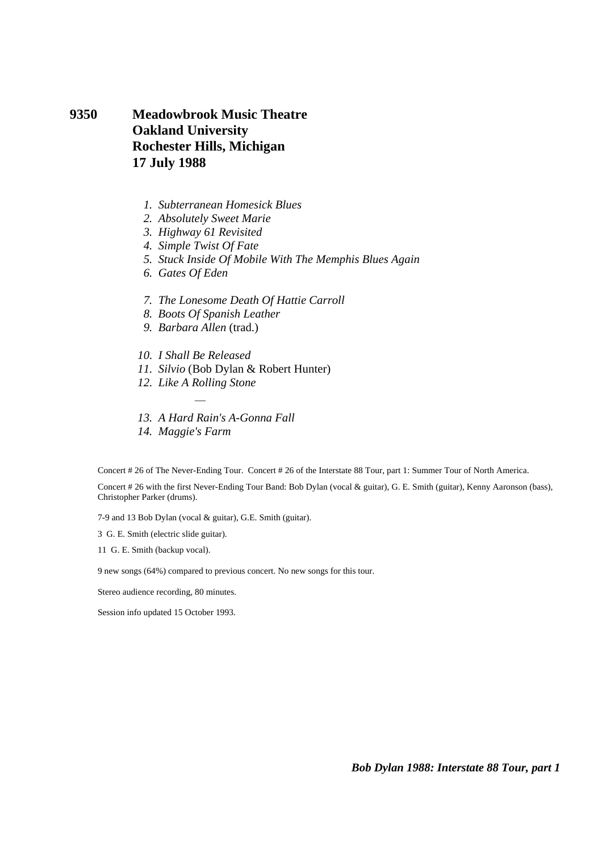**9350 Meadowbrook Music Theatre Oakland University Rochester Hills, Michigan 17 July 1988** 

- *1. Subterranean Homesick Blues*
- *2. Absolutely Sweet Marie*
- *3. Highway 61 Revisited*
- *4. Simple Twist Of Fate*
- *5. Stuck Inside Of Mobile With The Memphis Blues Again*
- *6. Gates Of Eden*
- *7. The Lonesome Death Of Hattie Carroll*
- *8. Boots Of Spanish Leather*
- *9. Barbara Allen* (trad.)
- *10. I Shall Be Released*
- *11. Silvio* (Bob Dylan & Robert Hunter)
- *12. Like A Rolling Stone*  ÷,
- *13. A Hard Rain's A-Gonna Fall*
- *14. Maggie's Farm*

Concert # 26 of The Never-Ending Tour. Concert # 26 of the Interstate 88 Tour, part 1: Summer Tour of North America.

Concert # 26 with the first Never-Ending Tour Band: Bob Dylan (vocal & guitar), G. E. Smith (guitar), Kenny Aaronson (bass), Christopher Parker (drums).

7-9 and 13 Bob Dylan (vocal & guitar), G.E. Smith (guitar).

3 G. E. Smith (electric slide guitar).

11 G. E. Smith (backup vocal).

9 new songs (64%) compared to previous concert. No new songs for this tour.

Stereo audience recording, 80 minutes.

Session info updated 15 October 1993.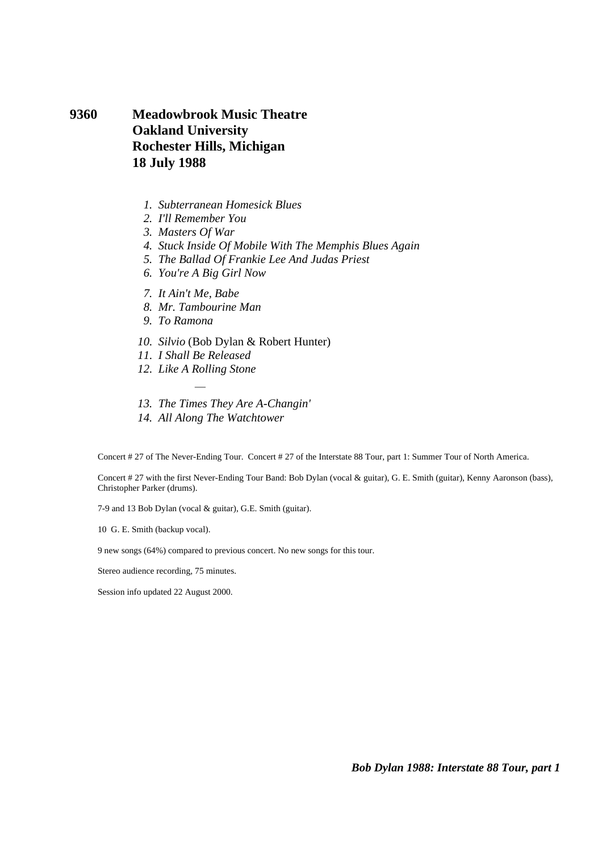# **9360 Meadowbrook Music Theatre Oakland University Rochester Hills, Michigan 18 July 1988**

- *1. Subterranean Homesick Blues*
- *2. I'll Remember You*
- *3. Masters Of War*
- *4. Stuck Inside Of Mobile With The Memphis Blues Again*
- *5. The Ballad Of Frankie Lee And Judas Priest*
- *6. You're A Big Girl Now*
- *7. It Ain't Me, Babe*
- *8. Mr. Tambourine Man*
- *9. To Ramona*
- *10. Silvio* (Bob Dylan & Robert Hunter)
- *11. I Shall Be Released*
- *12. Like A Rolling Stone*  ÷,
- *13. The Times They Are A-Changin'*
- *14. All Along The Watchtower*

Concert # 27 of The Never-Ending Tour. Concert # 27 of the Interstate 88 Tour, part 1: Summer Tour of North America.

Concert # 27 with the first Never-Ending Tour Band: Bob Dylan (vocal & guitar), G. E. Smith (guitar), Kenny Aaronson (bass), Christopher Parker (drums).

7-9 and 13 Bob Dylan (vocal & guitar), G.E. Smith (guitar).

10 G. E. Smith (backup vocal).

9 new songs (64%) compared to previous concert. No new songs for this tour.

Stereo audience recording, 75 minutes.

Session info updated 22 August 2000.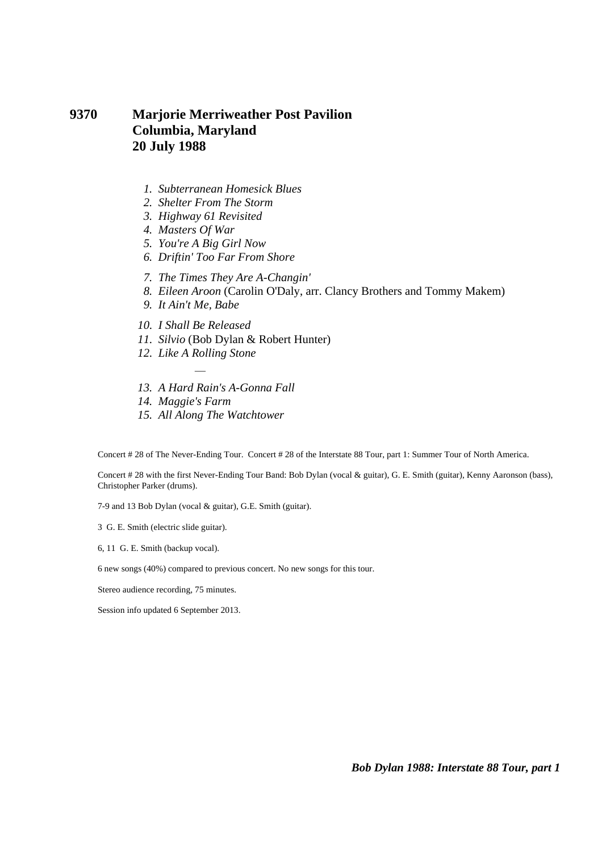# **9370 Marjorie Merriweather Post Pavilion Columbia, Maryland 20 July 1988**

- *1. Subterranean Homesick Blues*
- *2. Shelter From The Storm*
- *3. Highway 61 Revisited*
- *4. Masters Of War*
- *5. You're A Big Girl Now*
- *6. Driftin' Too Far From Shore*
- *7. The Times They Are A-Changin'*
- *8. Eileen Aroon* (Carolin O'Daly, arr. Clancy Brothers and Tommy Makem)
- *9. It Ain't Me, Babe*
- *10. I Shall Be Released*
- *11. Silvio* (Bob Dylan & Robert Hunter)
- *12. Like A Rolling Stone*  ÷,
- *13. A Hard Rain's A-Gonna Fall*
- *14. Maggie's Farm*
- *15. All Along The Watchtower*

Concert # 28 of The Never-Ending Tour. Concert # 28 of the Interstate 88 Tour, part 1: Summer Tour of North America.

Concert # 28 with the first Never-Ending Tour Band: Bob Dylan (vocal & guitar), G. E. Smith (guitar), Kenny Aaronson (bass), Christopher Parker (drums).

7-9 and 13 Bob Dylan (vocal & guitar), G.E. Smith (guitar).

3 G. E. Smith (electric slide guitar).

6, 11 G. E. Smith (backup vocal).

6 new songs (40%) compared to previous concert. No new songs for this tour.

Stereo audience recording, 75 minutes.

Session info updated 6 September 2013.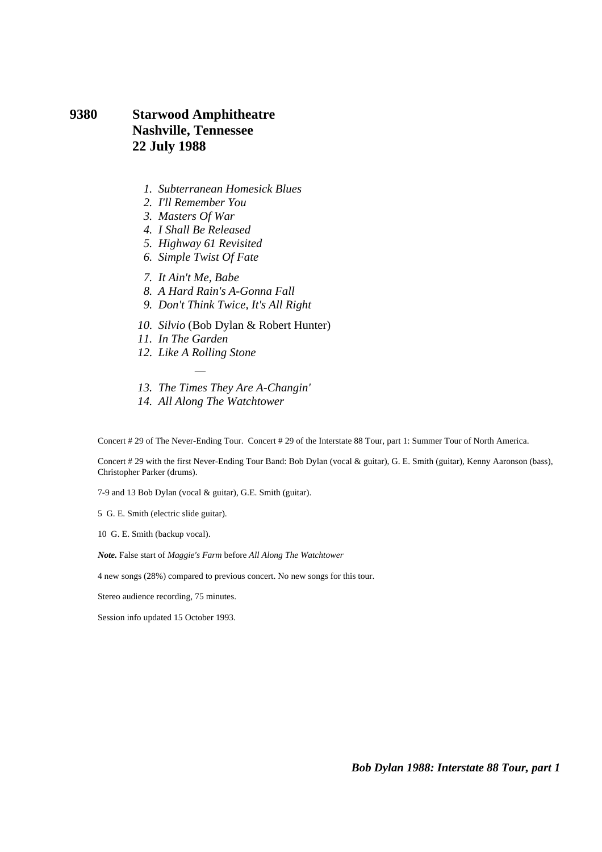### **9380 Starwood Amphitheatre Nashville, Tennessee 22 July 1988**

- *1. Subterranean Homesick Blues*
- *2. I'll Remember You*
- *3. Masters Of War*
- *4. I Shall Be Released*
- *5. Highway 61 Revisited*
- *6. Simple Twist Of Fate*
- *7. It Ain't Me, Babe*
- *8. A Hard Rain's A-Gonna Fall*
- *9. Don't Think Twice, It's All Right*
- *10. Silvio* (Bob Dylan & Robert Hunter)
- *11. In The Garden*
- *12. Like A Rolling Stone*  ÷,
- *13. The Times They Are A-Changin'*
- *14. All Along The Watchtower*

Concert # 29 of The Never-Ending Tour. Concert # 29 of the Interstate 88 Tour, part 1: Summer Tour of North America.

Concert # 29 with the first Never-Ending Tour Band: Bob Dylan (vocal & guitar), G. E. Smith (guitar), Kenny Aaronson (bass), Christopher Parker (drums).

7-9 and 13 Bob Dylan (vocal & guitar), G.E. Smith (guitar).

5 G. E. Smith (electric slide guitar).

10 G. E. Smith (backup vocal).

*Note.* False start of *Maggie's Farm* before *All Along The Watchtower*

4 new songs (28%) compared to previous concert. No new songs for this tour.

Stereo audience recording, 75 minutes.

Session info updated 15 October 1993.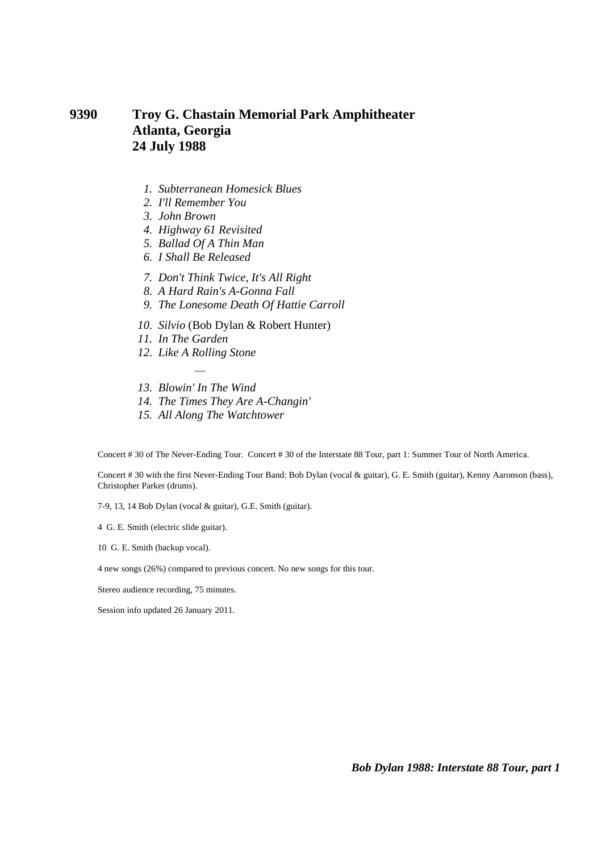## **9390 Troy G. Chastain Memorial Park Amphitheater Atlanta, Georgia 24 July 1988**

- *1. Subterranean Homesick Blues*
- *2. I'll Remember You*
- *3. John Brown*
- *4. Highway 61 Revisited*
- *5. Ballad Of A Thin Man*
- *6. I Shall Be Released*
- *7. Don't Think Twice, It's All Right*
- *8. A Hard Rain's A-Gonna Fall*
- *9. The Lonesome Death Of Hattie Carroll*
- *10. Silvio* (Bob Dylan & Robert Hunter)
- *11. In The Garden*
- *12. Like A Rolling Stone*
- ÷,  *13. Blowin' In The Wind*
- *14. The Times They Are A-Changin'*
- *15. All Along The Watchtower*

Concert # 30 of The Never-Ending Tour. Concert # 30 of the Interstate 88 Tour, part 1: Summer Tour of North America.

Concert # 30 with the first Never-Ending Tour Band: Bob Dylan (vocal & guitar), G. E. Smith (guitar), Kenny Aaronson (bass), Christopher Parker (drums).

7-9, 13, 14 Bob Dylan (vocal & guitar), G.E. Smith (guitar).

4 G. E. Smith (electric slide guitar).

10 G. E. Smith (backup vocal).

4 new songs (26%) compared to previous concert. No new songs for this tour.

Stereo audience recording, 75 minutes.

Session info updated 26 January 2011.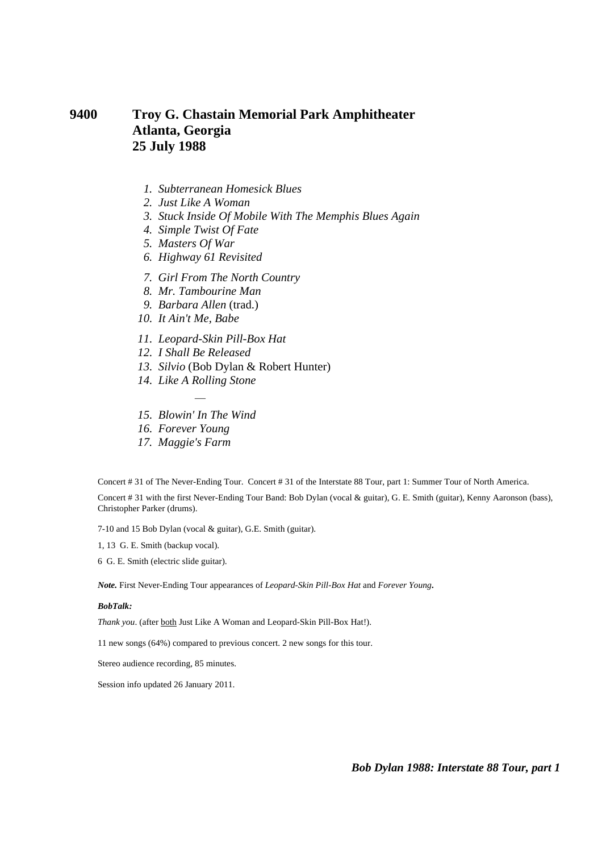# **9400 Troy G. Chastain Memorial Park Amphitheater Atlanta, Georgia 25 July 1988**

- *1. Subterranean Homesick Blues*
- *2. Just Like A Woman*
- *3. Stuck Inside Of Mobile With The Memphis Blues Again*
- *4. Simple Twist Of Fate*
- *5. Masters Of War*
- *6. Highway 61 Revisited*
- *7. Girl From The North Country*
- *8. Mr. Tambourine Man*
- *9. Barbara Allen* (trad.)
- *10. It Ain't Me, Babe*
- *11. Leopard-Skin Pill-Box Hat*
- *12. I Shall Be Released*
- *13. Silvio* (Bob Dylan & Robert Hunter)
- *14. Like A Rolling Stone*  ÷,
- *15. Blowin' In The Wind*
- *16. Forever Young*
- *17. Maggie's Farm*

Concert # 31 of The Never-Ending Tour. Concert # 31 of the Interstate 88 Tour, part 1: Summer Tour of North America.

Concert # 31 with the first Never-Ending Tour Band: Bob Dylan (vocal & guitar), G. E. Smith (guitar), Kenny Aaronson (bass), Christopher Parker (drums).

7-10 and 15 Bob Dylan (vocal & guitar), G.E. Smith (guitar).

1, 13 G. E. Smith (backup vocal).

6 G. E. Smith (electric slide guitar).

*Note.* First Never-Ending Tour appearances of *Leopard-Skin Pill-Box Hat* and *Forever Young.*

#### *BobTalk:*

*Thank you*. (after both Just Like A Woman and Leopard-Skin Pill-Box Hat!).

11 new songs (64%) compared to previous concert. 2 new songs for this tour.

Stereo audience recording, 85 minutes.

Session info updated 26 January 2011.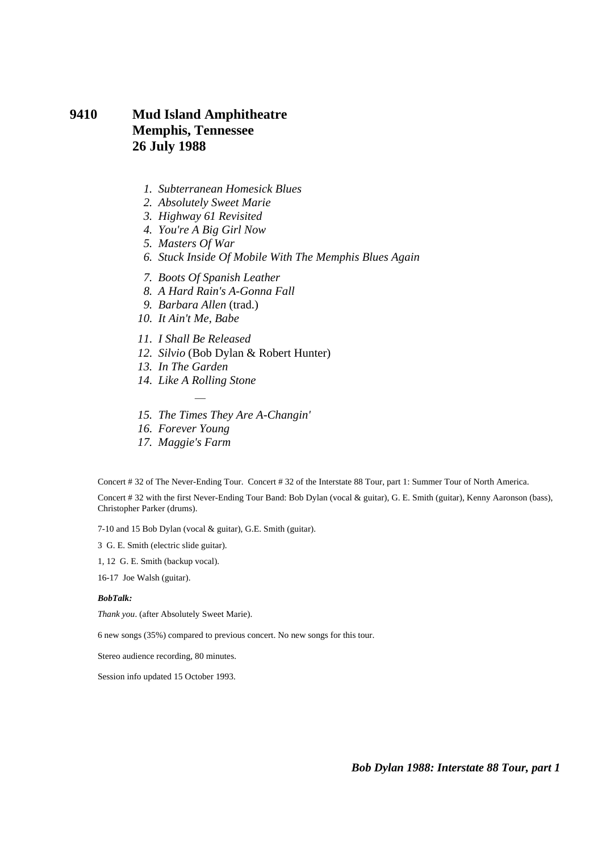# **9410 Mud Island Amphitheatre Memphis, Tennessee 26 July 1988**

- *1. Subterranean Homesick Blues*
- *2. Absolutely Sweet Marie*
- *3. Highway 61 Revisited*
- *4. You're A Big Girl Now*
- *5. Masters Of War*
- *6. Stuck Inside Of Mobile With The Memphis Blues Again*
- *7. Boots Of Spanish Leather*
- *8. A Hard Rain's A-Gonna Fall*
- *9. Barbara Allen* (trad.)
- *10. It Ain't Me, Babe*
- *11. I Shall Be Released*
- *12. Silvio* (Bob Dylan & Robert Hunter)
- *13. In The Garden*
- *14. Like A Rolling Stone*  ÷,
- *15. The Times They Are A-Changin'*
- *16. Forever Young*
- *17. Maggie's Farm*

Concert # 32 of The Never-Ending Tour. Concert # 32 of the Interstate 88 Tour, part 1: Summer Tour of North America.

Concert # 32 with the first Never-Ending Tour Band: Bob Dylan (vocal & guitar), G. E. Smith (guitar), Kenny Aaronson (bass), Christopher Parker (drums).

7-10 and 15 Bob Dylan (vocal & guitar), G.E. Smith (guitar).

3 G. E. Smith (electric slide guitar).

1, 12 G. E. Smith (backup vocal).

16-17 Joe Walsh (guitar).

#### *BobTalk:*

*Thank you*. (after Absolutely Sweet Marie).

6 new songs (35%) compared to previous concert. No new songs for this tour.

Stereo audience recording, 80 minutes.

Session info updated 15 October 1993.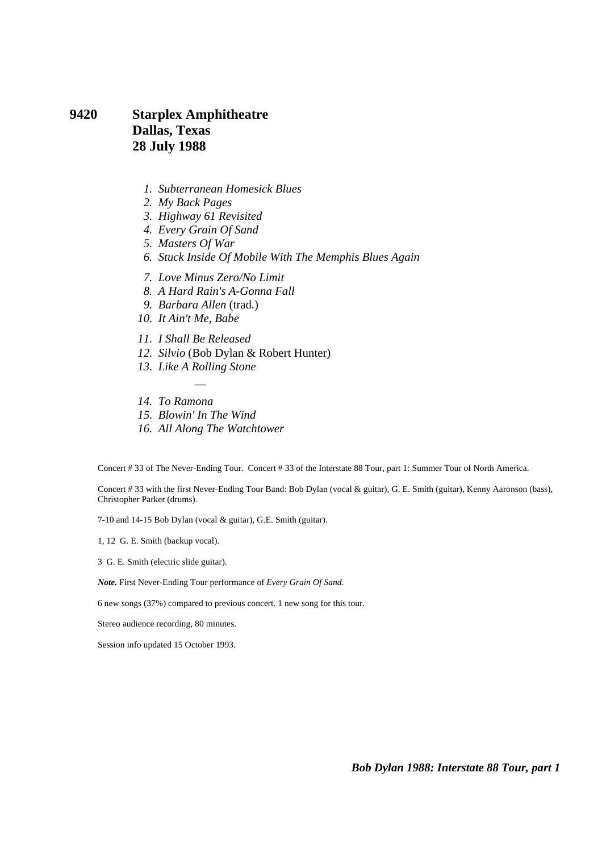# **9420 Starplex Amphitheatre Dallas, Texas 28 July 1988**

- *1. Subterranean Homesick Blues*
- *2. My Back Pages*
- *3. Highway 61 Revisited*
- *4. Every Grain Of Sand*
- *5. Masters Of War*
- *6. Stuck Inside Of Mobile With The Memphis Blues Again*
- *7. Love Minus Zero/No Limit*
- *8. A Hard Rain's A-Gonna Fall*
- *9. Barbara Allen* (trad.)
- *10. It Ain't Me, Babe*
- *11. I Shall Be Released*
- *12. Silvio* (Bob Dylan & Robert Hunter)
- *13. Like A Rolling Stone*  ÷,
- *14. To Ramona*
- *15. Blowin' In The Wind*
- *16. All Along The Watchtower*

Concert # 33 of The Never-Ending Tour. Concert # 33 of the Interstate 88 Tour, part 1: Summer Tour of North America.

Concert # 33 with the first Never-Ending Tour Band: Bob Dylan (vocal & guitar), G. E. Smith (guitar), Kenny Aaronson (bass), Christopher Parker (drums).

7-10 and 14-15 Bob Dylan (vocal & guitar), G.E. Smith (guitar).

1, 12 G. E. Smith (backup vocal).

3 G. E. Smith (electric slide guitar).

*Note.* First Never-Ending Tour performance of *Every Grain Of Sand*.

6 new songs (37%) compared to previous concert. 1 new song for this tour.

Stereo audience recording, 80 minutes.

Session info updated 15 October 1993.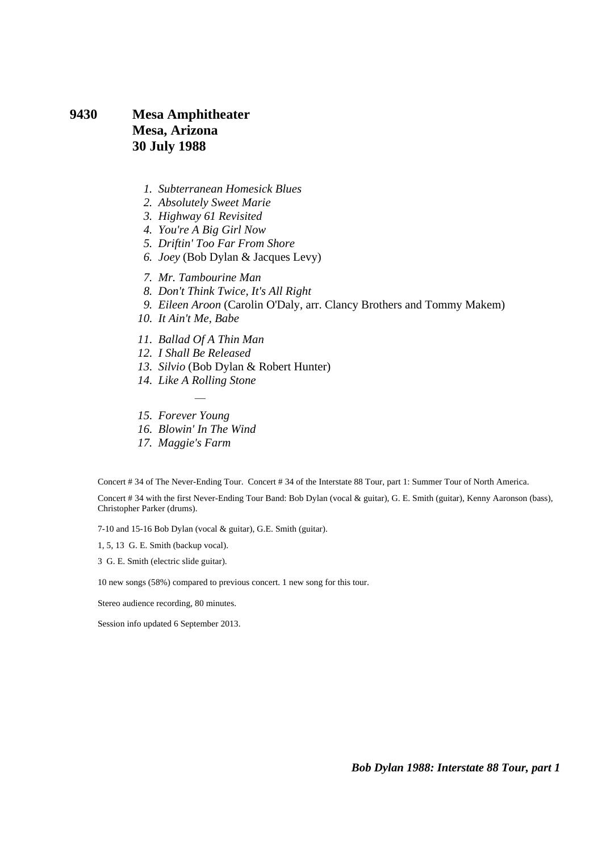# **9430 Mesa Amphitheater Mesa, Arizona 30 July 1988**

- *1. Subterranean Homesick Blues*
- *2. Absolutely Sweet Marie*
- *3. Highway 61 Revisited*
- *4. You're A Big Girl Now*
- *5. Driftin' Too Far From Shore*
- *6. Joey* (Bob Dylan & Jacques Levy)
- *7. Mr. Tambourine Man*
- *8. Don't Think Twice, It's All Right*
- *9. Eileen Aroon* (Carolin O'Daly, arr. Clancy Brothers and Tommy Makem)
- *10. It Ain't Me, Babe*
- *11. Ballad Of A Thin Man*
- *12. I Shall Be Released*
- *13. Silvio* (Bob Dylan & Robert Hunter)
- *14. Like A Rolling Stone*  ÷,
- *15. Forever Young*
- *16. Blowin' In The Wind*
- *17. Maggie's Farm*

Concert # 34 of The Never-Ending Tour. Concert # 34 of the Interstate 88 Tour, part 1: Summer Tour of North America.

Concert # 34 with the first Never-Ending Tour Band: Bob Dylan (vocal & guitar), G. E. Smith (guitar), Kenny Aaronson (bass), Christopher Parker (drums).

7-10 and 15-16 Bob Dylan (vocal & guitar), G.E. Smith (guitar).

1, 5, 13 G. E. Smith (backup vocal).

3 G. E. Smith (electric slide guitar).

10 new songs (58%) compared to previous concert. 1 new song for this tour.

Stereo audience recording, 80 minutes.

Session info updated 6 September 2013.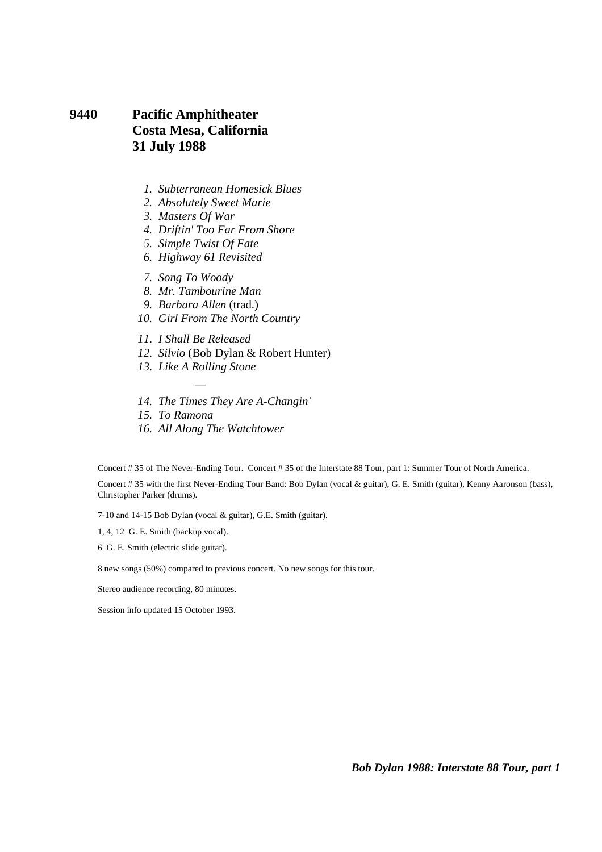# **9440 Pacific Amphitheater Costa Mesa, California 31 July 1988**

- *1. Subterranean Homesick Blues*
- *2. Absolutely Sweet Marie*
- *3. Masters Of War*
- *4. Driftin' Too Far From Shore*
- *5. Simple Twist Of Fate*
- *6. Highway 61 Revisited*
- *7. Song To Woody*
- *8. Mr. Tambourine Man*
- *9. Barbara Allen* (trad.)
- *10. Girl From The North Country*
- *11. I Shall Be Released*
- *12. Silvio* (Bob Dylan & Robert Hunter)
- *13. Like A Rolling Stone*  ÷,
- *14. The Times They Are A-Changin'*
- *15. To Ramona*
- *16. All Along The Watchtower*

Concert # 35 of The Never-Ending Tour. Concert # 35 of the Interstate 88 Tour, part 1: Summer Tour of North America. Concert # 35 with the first Never-Ending Tour Band: Bob Dylan (vocal & guitar), G. E. Smith (guitar), Kenny Aaronson (bass), Christopher Parker (drums).

7-10 and 14-15 Bob Dylan (vocal & guitar), G.E. Smith (guitar).

1, 4, 12 G. E. Smith (backup vocal).

6 G. E. Smith (electric slide guitar).

8 new songs (50%) compared to previous concert. No new songs for this tour.

Stereo audience recording, 80 minutes.

Session info updated 15 October 1993.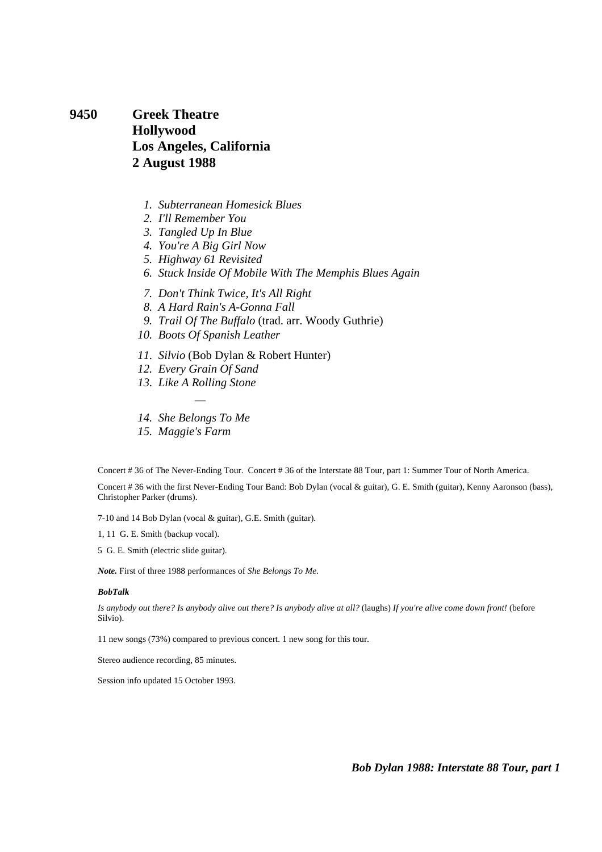**9450 Greek Theatre Hollywood Los Angeles, California 2 August 1988** 

- *1. Subterranean Homesick Blues*
- *2. I'll Remember You*
- *3. Tangled Up In Blue*
- *4. You're A Big Girl Now*
- *5. Highway 61 Revisited*
- *6. Stuck Inside Of Mobile With The Memphis Blues Again*
- *7. Don't Think Twice, It's All Right*
- *8. A Hard Rain's A-Gonna Fall*
- *9. Trail Of The Buffalo* (trad. arr. Woody Guthrie)
- *10. Boots Of Spanish Leather*
- *11. Silvio* (Bob Dylan & Robert Hunter)
- *12. Every Grain Of Sand*
- *13. Like A Rolling Stone*  ÷,
- *14. She Belongs To Me*
- *15. Maggie's Farm*

Concert # 36 of The Never-Ending Tour. Concert # 36 of the Interstate 88 Tour, part 1: Summer Tour of North America.

Concert # 36 with the first Never-Ending Tour Band: Bob Dylan (vocal & guitar), G. E. Smith (guitar), Kenny Aaronson (bass), Christopher Parker (drums).

7-10 and 14 Bob Dylan (vocal & guitar), G.E. Smith (guitar).

1, 11 G. E. Smith (backup vocal).

5 G. E. Smith (electric slide guitar).

*Note.* First of three 1988 performances of *She Belongs To Me*.

#### *BobTalk*

*Is anybody out there? Is anybody alive out there? Is anybody alive at all?* (laughs) *If you're alive come down front!* (before Silvio).

11 new songs (73%) compared to previous concert. 1 new song for this tour.

Stereo audience recording, 85 minutes.

Session info updated 15 October 1993.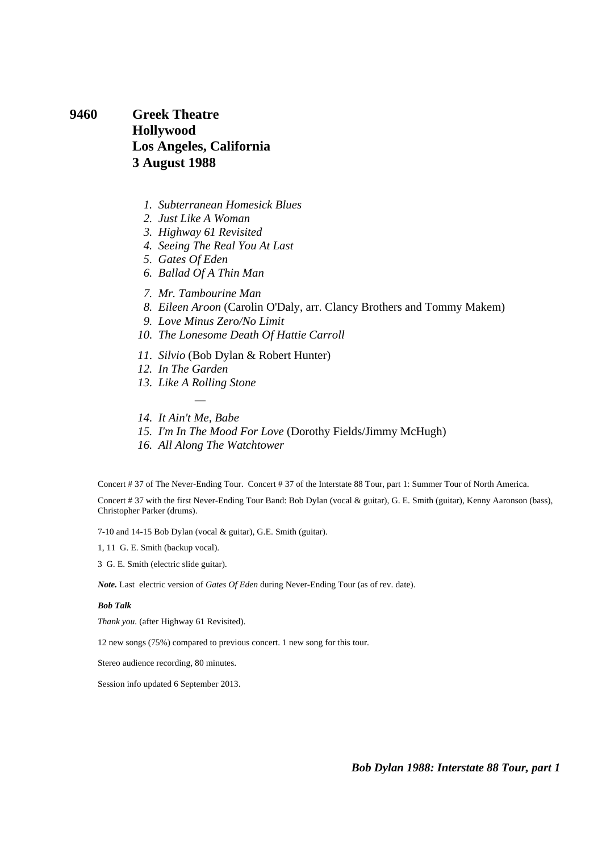**9460 Greek Theatre Hollywood Los Angeles, California 3 August 1988** 

- *1. Subterranean Homesick Blues*
- *2. Just Like A Woman*
- *3. Highway 61 Revisited*
- *4. Seeing The Real You At Last*
- *5. Gates Of Eden*
- *6. Ballad Of A Thin Man*
- *7. Mr. Tambourine Man*
- *8. Eileen Aroon* (Carolin O'Daly, arr. Clancy Brothers and Tommy Makem)
- *9. Love Minus Zero/No Limit*
- *10. The Lonesome Death Of Hattie Carroll*
- *11. Silvio* (Bob Dylan & Robert Hunter)
- *12. In The Garden*
- *13. Like A Rolling Stone*  ÷,
- *14. It Ain't Me, Babe*
- *15. I'm In The Mood For Love* (Dorothy Fields/Jimmy McHugh)
- *16. All Along The Watchtower*

Concert # 37 of The Never-Ending Tour. Concert # 37 of the Interstate 88 Tour, part 1: Summer Tour of North America.

Concert # 37 with the first Never-Ending Tour Band: Bob Dylan (vocal & guitar), G. E. Smith (guitar), Kenny Aaronson (bass), Christopher Parker (drums).

7-10 and 14-15 Bob Dylan (vocal & guitar), G.E. Smith (guitar).

1, 11 G. E. Smith (backup vocal).

3 G. E. Smith (electric slide guitar).

*Note.* Last electric version of *Gates Of Eden* during Never-Ending Tour (as of rev. date).

#### *Bob Talk*

*Thank you.* (after Highway 61 Revisited).

12 new songs (75%) compared to previous concert. 1 new song for this tour.

Stereo audience recording, 80 minutes.

Session info updated 6 September 2013.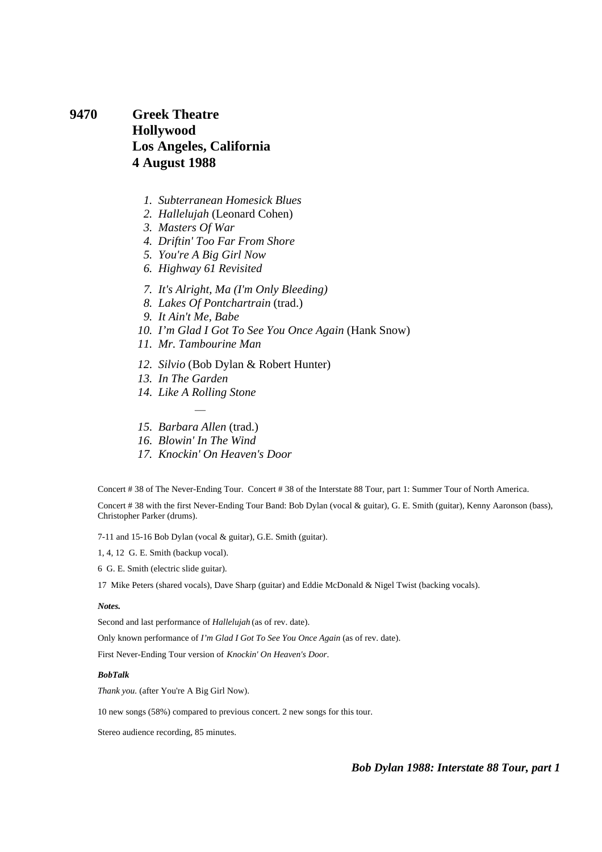**9470 Greek Theatre Hollywood Los Angeles, California 4 August 1988** 

- *1. Subterranean Homesick Blues*
- *2. Hallelujah* (Leonard Cohen)
- *3. Masters Of War*
- *4. Driftin' Too Far From Shore*
- *5. You're A Big Girl Now*
- *6. Highway 61 Revisited*
- *7. It's Alright, Ma (I'm Only Bleeding)*
- *8. Lakes Of Pontchartrain* (trad.)
- *9. It Ain't Me, Babe*
- *10. I'm Glad I Got To See You Once Again* (Hank Snow)
- *11. Mr. Tambourine Man*
- *12. Silvio* (Bob Dylan & Robert Hunter)
- *13. In The Garden*
- *14. Like A Rolling Stone*
- ÷,  *15. Barbara Allen* (trad.)
- *16. Blowin' In The Wind*
- *17. Knockin' On Heaven's Door*

Concert # 38 of The Never-Ending Tour. Concert # 38 of the Interstate 88 Tour, part 1: Summer Tour of North America.

Concert # 38 with the first Never-Ending Tour Band: Bob Dylan (vocal & guitar), G. E. Smith (guitar), Kenny Aaronson (bass), Christopher Parker (drums).

7-11 and 15-16 Bob Dylan (vocal & guitar), G.E. Smith (guitar).

1, 4, 12 G. E. Smith (backup vocal).

6 G. E. Smith (electric slide guitar).

17 Mike Peters (shared vocals), Dave Sharp (guitar) and Eddie McDonald & Nigel Twist (backing vocals).

#### *Notes.*

Second and last performance of *Hallelujah* (as of rev. date).

Only known performance of *I'm Glad I Got To See You Once Again* (as of rev. date).

First Never-Ending Tour version of *Knockin' On Heaven's Door*.

#### *BobTalk*

*Thank you.* (after You're A Big Girl Now).

10 new songs (58%) compared to previous concert. 2 new songs for this tour.

Stereo audience recording, 85 minutes.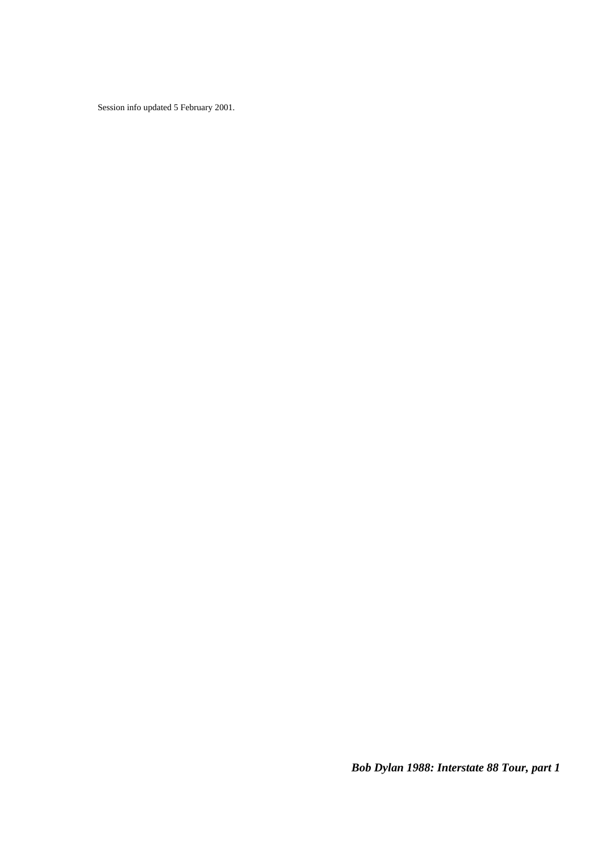Session info updated 5 February 2001.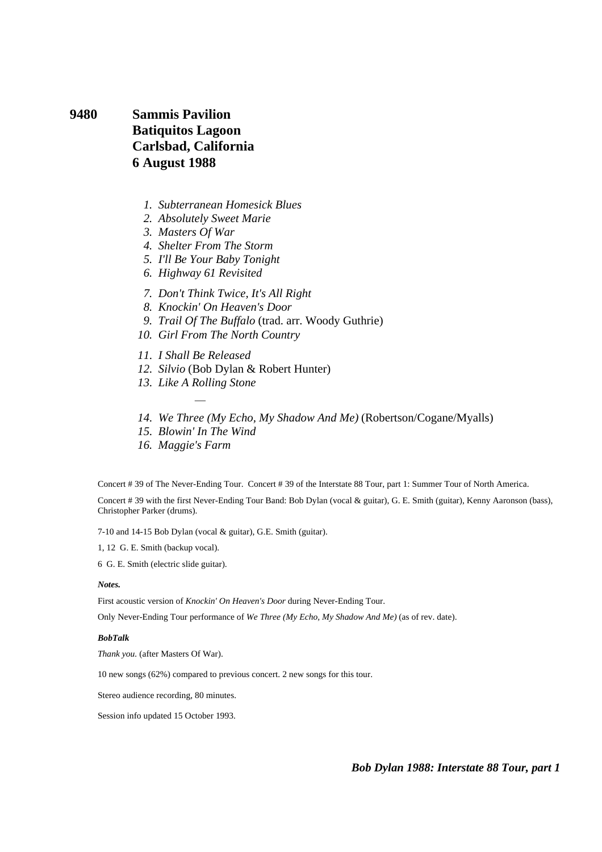**9480 Sammis Pavilion Batiquitos Lagoon Carlsbad, California 6 August 1988** 

- *1. Subterranean Homesick Blues*
- *2. Absolutely Sweet Marie*
- *3. Masters Of War*
- *4. Shelter From The Storm*
- *5. I'll Be Your Baby Tonight*
- *6. Highway 61 Revisited*
- *7. Don't Think Twice, It's All Right*
- *8. Knockin' On Heaven's Door*
- *9. Trail Of The Buffalo* (trad. arr. Woody Guthrie)
- *10. Girl From The North Country*
- *11. I Shall Be Released*
- *12. Silvio* (Bob Dylan & Robert Hunter)
- *13. Like A Rolling Stone*  ÷,
- *14. We Three (My Echo, My Shadow And Me)* (Robertson/Cogane/Myalls)
- *15. Blowin' In The Wind*
- *16. Maggie's Farm*

Concert # 39 of The Never-Ending Tour. Concert # 39 of the Interstate 88 Tour, part 1: Summer Tour of North America.

Concert # 39 with the first Never-Ending Tour Band: Bob Dylan (vocal & guitar), G. E. Smith (guitar), Kenny Aaronson (bass), Christopher Parker (drums).

7-10 and 14-15 Bob Dylan (vocal & guitar), G.E. Smith (guitar).

1, 12 G. E. Smith (backup vocal).

6 G. E. Smith (electric slide guitar).

#### *Notes.*

First acoustic version of *Knockin' On Heaven's Door* during Never-Ending Tour.

Only Never-Ending Tour performance of *We Three (My Echo, My Shadow And Me)* (as of rev. date).

#### *BobTalk*

*Thank you.* (after Masters Of War).

10 new songs (62%) compared to previous concert. 2 new songs for this tour.

Stereo audience recording, 80 minutes.

Session info updated 15 October 1993.